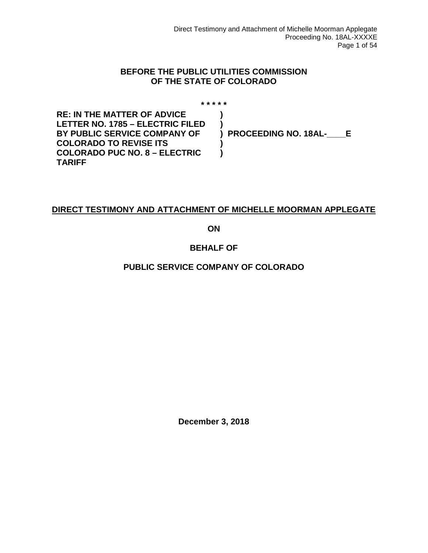#### **BEFORE THE PUBLIC UTILITIES COMMISSION OF THE STATE OF COLORADO**

**\* \* \* \* \* RE: IN THE MATTER OF ADVICE LETTER NO. 1785 – ELECTRIC FILED BY PUBLIC SERVICE COMPANY OF COLORADO TO REVISE ITS COLORADO PUC NO. 8 – ELECTRIC TARIFF ) ) ) PROCEEDING NO. 18AL-\_\_\_\_E ) )**

#### **DIRECT TESTIMONY AND ATTACHMENT OF MICHELLE MOORMAN APPLEGATE**

**ON**

#### **BEHALF OF**

#### **PUBLIC SERVICE COMPANY OF COLORADO**

**December 3, 2018**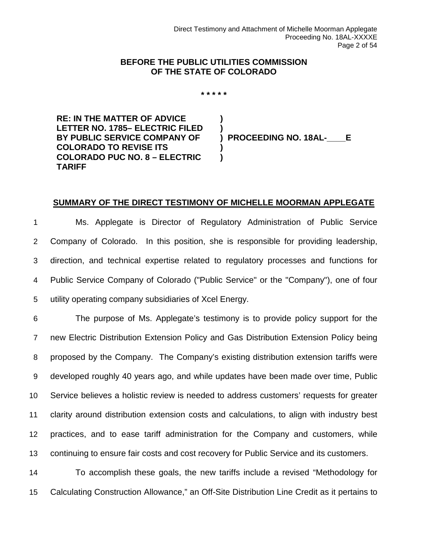#### **BEFORE THE PUBLIC UTILITIES COMMISSION OF THE STATE OF COLORADO**

**\* \* \* \* \***

**) )**

**) )**

**RE: IN THE MATTER OF ADVICE LETTER NO. 1785– ELECTRIC FILED BY PUBLIC SERVICE COMPANY OF COLORADO TO REVISE ITS COLORADO PUC NO. 8 – ELECTRIC TARIFF**

**) PROCEEDING NO. 18AL-\_\_\_\_E**

#### **SUMMARY OF THE DIRECT TESTIMONY OF MICHELLE MOORMAN APPLEGATE**

 Ms. Applegate is Director of Regulatory Administration of Public Service Company of Colorado. In this position, she is responsible for providing leadership, direction, and technical expertise related to regulatory processes and functions for Public Service Company of Colorado ("Public Service" or the "Company"), one of four utility operating company subsidiaries of Xcel Energy.

 The purpose of Ms. Applegate's testimony is to provide policy support for the new Electric Distribution Extension Policy and Gas Distribution Extension Policy being proposed by the Company. The Company's existing distribution extension tariffs were developed roughly 40 years ago, and while updates have been made over time, Public Service believes a holistic review is needed to address customers' requests for greater clarity around distribution extension costs and calculations, to align with industry best practices, and to ease tariff administration for the Company and customers, while continuing to ensure fair costs and cost recovery for Public Service and its customers.

14 To accomplish these goals, the new tariffs include a revised "Methodology for 15 Calculating Construction Allowance," an Off-Site Distribution Line Credit as it pertains to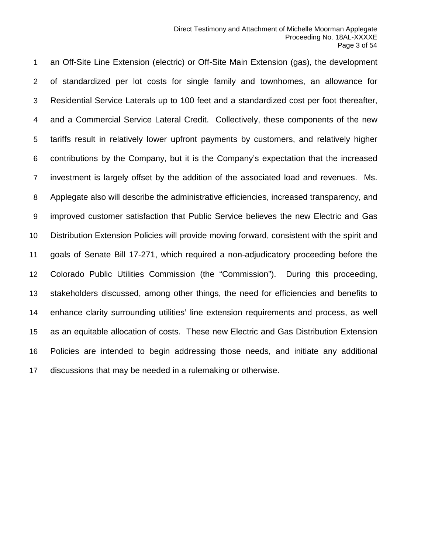an Off-Site Line Extension (electric) or Off-Site Main Extension (gas), the development of standardized per lot costs for single family and townhomes, an allowance for Residential Service Laterals up to 100 feet and a standardized cost per foot thereafter, and a Commercial Service Lateral Credit. Collectively, these components of the new tariffs result in relatively lower upfront payments by customers, and relatively higher contributions by the Company, but it is the Company's expectation that the increased investment is largely offset by the addition of the associated load and revenues. Ms. Applegate also will describe the administrative efficiencies, increased transparency, and improved customer satisfaction that Public Service believes the new Electric and Gas Distribution Extension Policies will provide moving forward, consistent with the spirit and goals of Senate Bill 17-271, which required a non-adjudicatory proceeding before the Colorado Public Utilities Commission (the "Commission"). During this proceeding, stakeholders discussed, among other things, the need for efficiencies and benefits to enhance clarity surrounding utilities' line extension requirements and process, as well as an equitable allocation of costs. These new Electric and Gas Distribution Extension Policies are intended to begin addressing those needs, and initiate any additional discussions that may be needed in a rulemaking or otherwise.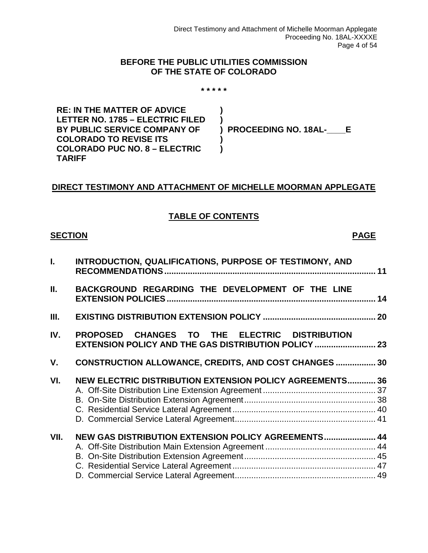#### **BEFORE THE PUBLIC UTILITIES COMMISSION OF THE STATE OF COLORADO**

**\* \* \* \* \***

**RE: IN THE MATTER OF ADVICE LETTER NO. 1785 – ELECTRIC FILED BY PUBLIC SERVICE COMPANY OF COLORADO TO REVISE ITS COLORADO PUC NO. 8 – ELECTRIC TARIFF ) ) ) )**

**) PROCEEDING NO. 18AL-\_\_\_\_E**

#### **DIRECT TESTIMONY AND ATTACHMENT OF MICHELLE MOORMAN APPLEGATE**

#### **TABLE OF CONTENTS**

#### **SECTION PAGE**

| L.   | INTRODUCTION, QUALIFICATIONS, PURPOSE OF TESTIMONY, AND                                                      |  |
|------|--------------------------------------------------------------------------------------------------------------|--|
| Ш.   | BACKGROUND REGARDING THE DEVELOPMENT OF THE LINE                                                             |  |
| Ш.   |                                                                                                              |  |
| IV.  | PROPOSED CHANGES TO THE ELECTRIC DISTRIBUTION<br><b>EXTENSION POLICY AND THE GAS DISTRIBUTION POLICY  23</b> |  |
| V.   | <b>CONSTRUCTION ALLOWANCE, CREDITS, AND COST CHANGES  30</b>                                                 |  |
| VI.  | NEW ELECTRIC DISTRIBUTION EXTENSION POLICY AGREEMENTS 36                                                     |  |
| VII. | NEW GAS DISTRIBUTION EXTENSION POLICY AGREEMENTS 44                                                          |  |
|      |                                                                                                              |  |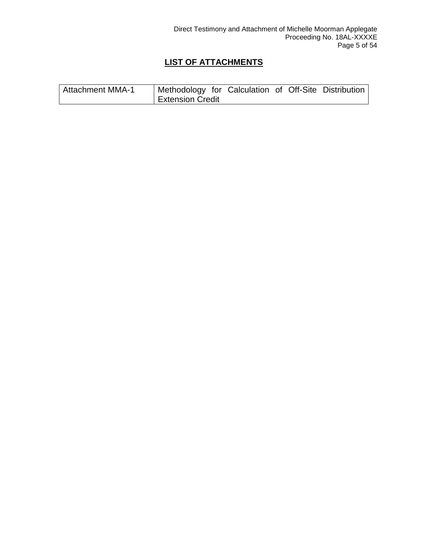#### **LIST OF ATTACHMENTS**

| <b>Attachment MMA-1</b> | <sup>1</sup> Methodology for Calculation of Off-Site Distribution |  |  |  |
|-------------------------|-------------------------------------------------------------------|--|--|--|
|                         | <b>Extension Credit</b>                                           |  |  |  |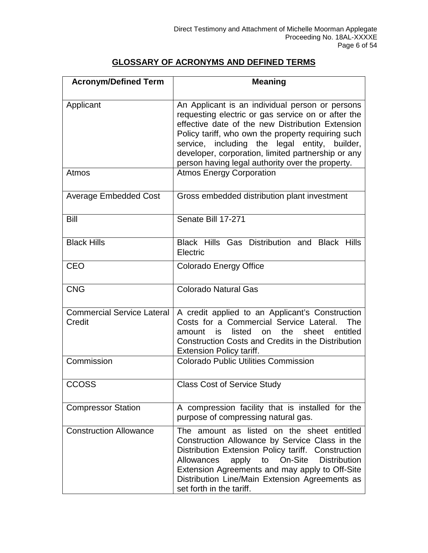#### **GLOSSARY OF ACRONYMS AND DEFINED TERMS**

| <b>Acronym/Defined Term</b>                 | <b>Meaning</b>                                                                                                                                                                                                                                                                                                                                                             |  |  |  |
|---------------------------------------------|----------------------------------------------------------------------------------------------------------------------------------------------------------------------------------------------------------------------------------------------------------------------------------------------------------------------------------------------------------------------------|--|--|--|
|                                             |                                                                                                                                                                                                                                                                                                                                                                            |  |  |  |
| Applicant                                   | An Applicant is an individual person or persons<br>requesting electric or gas service on or after the<br>effective date of the new Distribution Extension<br>Policy tariff, who own the property requiring such<br>service, including the legal entity, builder,<br>developer, corporation, limited partnership or any<br>person having legal authority over the property. |  |  |  |
| Atmos                                       | <b>Atmos Energy Corporation</b>                                                                                                                                                                                                                                                                                                                                            |  |  |  |
| <b>Average Embedded Cost</b>                | Gross embedded distribution plant investment                                                                                                                                                                                                                                                                                                                               |  |  |  |
| Bill                                        | Senate Bill 17-271                                                                                                                                                                                                                                                                                                                                                         |  |  |  |
| <b>Black Hills</b>                          | Black Hills Gas Distribution and Black Hills<br>Electric                                                                                                                                                                                                                                                                                                                   |  |  |  |
| <b>CEO</b>                                  | <b>Colorado Energy Office</b>                                                                                                                                                                                                                                                                                                                                              |  |  |  |
| <b>CNG</b>                                  | <b>Colorado Natural Gas</b>                                                                                                                                                                                                                                                                                                                                                |  |  |  |
| <b>Commercial Service Lateral</b><br>Credit | A credit applied to an Applicant's Construction<br>Costs for a Commercial Service Lateral.<br>The<br>listed<br>the<br>sheet<br>entitled<br>on<br>amount<br>is<br><b>Construction Costs and Credits in the Distribution</b><br><b>Extension Policy tariff.</b>                                                                                                              |  |  |  |
| Commission                                  | <b>Colorado Public Utilities Commission</b>                                                                                                                                                                                                                                                                                                                                |  |  |  |
| <b>CCOSS</b>                                | <b>Class Cost of Service Study</b>                                                                                                                                                                                                                                                                                                                                         |  |  |  |
| <b>Compressor Station</b>                   | A compression facility that is installed for the<br>purpose of compressing natural gas.                                                                                                                                                                                                                                                                                    |  |  |  |
| <b>Construction Allowance</b>               | The amount as listed on the sheet entitled<br>Construction Allowance by Service Class in the<br>Distribution Extension Policy tariff. Construction<br>On-Site<br><b>Distribution</b><br>Allowances<br>apply<br>to<br>Extension Agreements and may apply to Off-Site<br>Distribution Line/Main Extension Agreements as<br>set forth in the tariff.                          |  |  |  |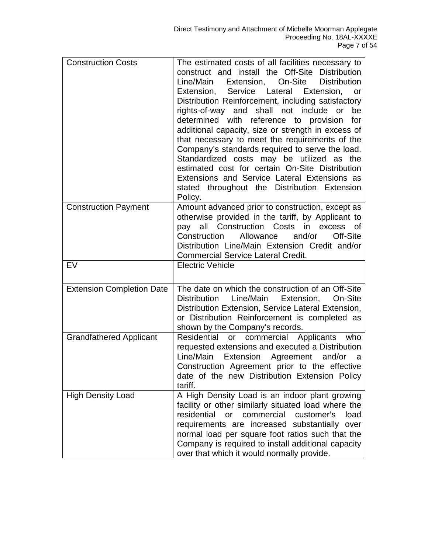| <b>Construction Costs</b>        | The estimated costs of all facilities necessary to<br>construct and install the Off-Site Distribution<br>Line/Main<br>Extension,<br>On-Site<br><b>Distribution</b><br>Service Lateral<br>Extension,<br>Extension,<br>or<br>Distribution Reinforcement, including satisfactory<br>rights-of-way and shall not include or<br>be<br>determined with reference to<br>provision<br>for<br>additional capacity, size or strength in excess of<br>that necessary to meet the requirements of the<br>Company's standards required to serve the load.<br>Standardized costs may be utilized as the<br>estimated cost for certain On-Site Distribution<br>Extensions and Service Lateral Extensions as<br>stated throughout the Distribution Extension<br>Policy. |
|----------------------------------|---------------------------------------------------------------------------------------------------------------------------------------------------------------------------------------------------------------------------------------------------------------------------------------------------------------------------------------------------------------------------------------------------------------------------------------------------------------------------------------------------------------------------------------------------------------------------------------------------------------------------------------------------------------------------------------------------------------------------------------------------------|
| <b>Construction Payment</b>      | Amount advanced prior to construction, except as<br>otherwise provided in the tariff, by Applicant to<br>pay all Construction Costs<br>in excess of<br>and/or<br>Construction<br>Allowance<br>Off-Site<br>Distribution Line/Main Extension Credit and/or<br><b>Commercial Service Lateral Credit.</b>                                                                                                                                                                                                                                                                                                                                                                                                                                                   |
| EV                               | <b>Electric Vehicle</b>                                                                                                                                                                                                                                                                                                                                                                                                                                                                                                                                                                                                                                                                                                                                 |
| <b>Extension Completion Date</b> | The date on which the construction of an Off-Site<br>Distribution<br>Line/Main<br>Extension,<br>On-Site<br>Distribution Extension, Service Lateral Extension,<br>or Distribution Reinforcement is completed as<br>shown by the Company's records.                                                                                                                                                                                                                                                                                                                                                                                                                                                                                                       |
| <b>Grandfathered Applicant</b>   | Residential<br>or commercial Applicants<br>who<br>requested extensions and executed a Distribution<br>Line/Main Extension Agreement and/or<br>a<br>Construction Agreement prior to the effective<br>date of the new Distribution Extension Policy<br>tariff.                                                                                                                                                                                                                                                                                                                                                                                                                                                                                            |
| <b>High Density Load</b>         | A High Density Load is an indoor plant growing<br>facility or other similarly situated load where the<br>residential<br>commercial customer's<br><b>or</b><br>load<br>requirements are increased substantially<br>over<br>normal load per square foot ratios such that the<br>Company is required to install additional capacity<br>over that which it would normally provide.                                                                                                                                                                                                                                                                                                                                                                          |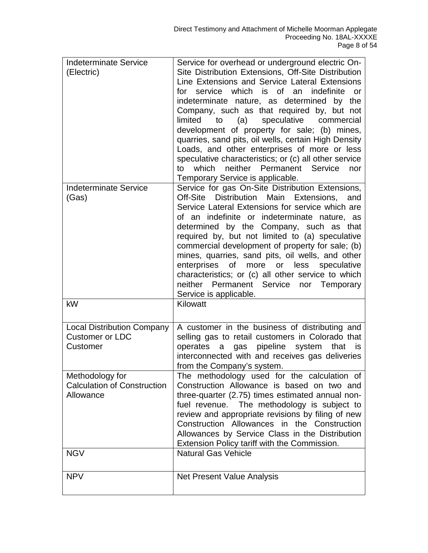| <b>Indeterminate Service</b><br>(Electric)<br><b>Indeterminate Service</b>       | Service for overhead or underground electric On-<br>Site Distribution Extensions, Off-Site Distribution<br>Line Extensions and Service Lateral Extensions<br>which is of an<br>indefinite<br>for<br>service<br><b>or</b><br>indeterminate nature, as determined by the<br>Company, such as that required by, but not<br>commercial<br>limited<br>to<br>(a)<br>speculative<br>development of property for sale; (b) mines,<br>quarries, sand pits, oil wells, certain High Density<br>Loads, and other enterprises of more or less<br>speculative characteristics; or (c) all other service<br>neither Permanent Service<br>to<br>which<br>nor<br>Temporary Service is applicable.<br>Service for gas On-Site Distribution Extensions, |
|----------------------------------------------------------------------------------|---------------------------------------------------------------------------------------------------------------------------------------------------------------------------------------------------------------------------------------------------------------------------------------------------------------------------------------------------------------------------------------------------------------------------------------------------------------------------------------------------------------------------------------------------------------------------------------------------------------------------------------------------------------------------------------------------------------------------------------|
| (Gas)                                                                            | Off-Site Distribution Main Extensions,<br>and<br>Service Lateral Extensions for service which are<br>of an indefinite or indeterminate nature, as<br>determined by the Company, such as that<br>required by, but not limited to (a) speculative<br>commercial development of property for sale; (b)<br>mines, quarries, sand pits, oil wells, and other<br>more or less speculative<br>enterprises of<br>characteristics; or (c) all other service to which<br>neither<br>Permanent Service nor Temporary<br>Service is applicable.                                                                                                                                                                                                   |
| kW                                                                               | Kilowatt                                                                                                                                                                                                                                                                                                                                                                                                                                                                                                                                                                                                                                                                                                                              |
| <b>Local Distribution Company</b><br><b>Customer or LDC</b><br>Customer          | A customer in the business of distributing and<br>selling gas to retail customers in Colorado that<br>pipeline<br>system<br>operates<br>gas<br>a<br>that<br>is<br>interconnected with and receives gas deliveries<br>from the Company's system.                                                                                                                                                                                                                                                                                                                                                                                                                                                                                       |
| Methodology for<br><b>Calculation of Construction</b><br>Allowance<br><b>NGV</b> | The methodology used for the calculation of<br>Construction Allowance is based on two and<br>three-quarter (2.75) times estimated annual non-<br>fuel revenue. The methodology is subject to<br>review and appropriate revisions by filing of new<br>Construction Allowances in the Construction<br>Allowances by Service Class in the Distribution<br>Extension Policy tariff with the Commission.<br><b>Natural Gas Vehicle</b>                                                                                                                                                                                                                                                                                                     |
|                                                                                  |                                                                                                                                                                                                                                                                                                                                                                                                                                                                                                                                                                                                                                                                                                                                       |
| <b>NPV</b>                                                                       | Net Present Value Analysis                                                                                                                                                                                                                                                                                                                                                                                                                                                                                                                                                                                                                                                                                                            |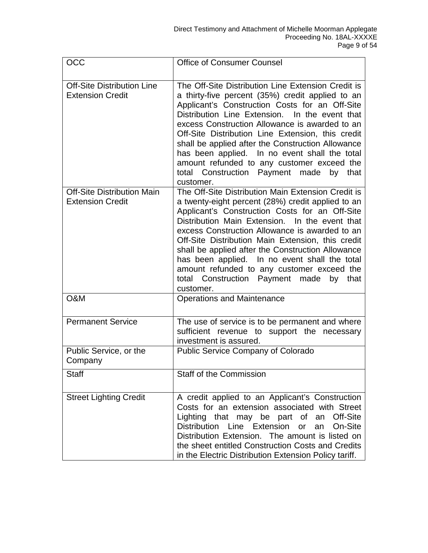| <b>OCC</b>                                                   | <b>Office of Consumer Counsel</b>                                                                                                                                                                                                                                                                                                                                                                                                                                                                                                    |  |  |  |
|--------------------------------------------------------------|--------------------------------------------------------------------------------------------------------------------------------------------------------------------------------------------------------------------------------------------------------------------------------------------------------------------------------------------------------------------------------------------------------------------------------------------------------------------------------------------------------------------------------------|--|--|--|
| <b>Off-Site Distribution Line</b><br><b>Extension Credit</b> | The Off-Site Distribution Line Extension Credit is<br>a thirty-five percent (35%) credit applied to an<br>Applicant's Construction Costs for an Off-Site<br>Distribution Line Extension. In the event that<br>excess Construction Allowance is awarded to an<br>Off-Site Distribution Line Extension, this credit<br>shall be applied after the Construction Allowance<br>has been applied. In no event shall the total<br>amount refunded to any customer exceed the<br>total Construction Payment made<br>by that<br>customer.     |  |  |  |
| <b>Off-Site Distribution Main</b><br><b>Extension Credit</b> | The Off-Site Distribution Main Extension Credit is<br>a twenty-eight percent (28%) credit applied to an<br>Applicant's Construction Costs for an Off-Site<br>Distribution Main Extension. In the event that<br>excess Construction Allowance is awarded to an<br>Off-Site Distribution Main Extension, this credit<br>shall be applied after the Construction Allowance<br>has been applied. In no event shall the total<br>amount refunded to any customer exceed the<br>total Construction Payment made<br>by<br>that<br>customer. |  |  |  |
| O&M                                                          | <b>Operations and Maintenance</b>                                                                                                                                                                                                                                                                                                                                                                                                                                                                                                    |  |  |  |
| <b>Permanent Service</b>                                     | The use of service is to be permanent and where<br>sufficient revenue to support the necessary<br>investment is assured.                                                                                                                                                                                                                                                                                                                                                                                                             |  |  |  |
| Public Service, or the<br>Company                            | Public Service Company of Colorado                                                                                                                                                                                                                                                                                                                                                                                                                                                                                                   |  |  |  |
| Staff                                                        | <b>Staff of the Commission</b>                                                                                                                                                                                                                                                                                                                                                                                                                                                                                                       |  |  |  |
| <b>Street Lighting Credit</b>                                | A credit applied to an Applicant's Construction<br>Costs for an extension associated with Street<br>Lighting that may be part of an<br>Off-Site<br>Distribution Line Extension or<br>an On-Site<br>Distribution Extension. The amount is listed on<br>the sheet entitled Construction Costs and Credits<br>in the Electric Distribution Extension Policy tariff.                                                                                                                                                                     |  |  |  |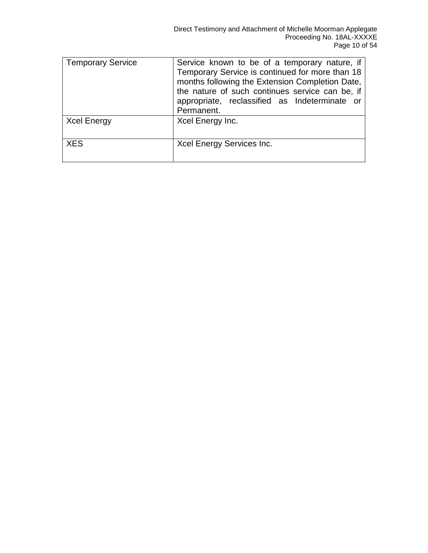| Temporary Service  | Service known to be of a temporary nature, if<br>Temporary Service is continued for more than 18<br>months following the Extension Completion Date,<br>the nature of such continues service can be, if<br>appropriate, reclassified as Indeterminate or<br>Permanent. |
|--------------------|-----------------------------------------------------------------------------------------------------------------------------------------------------------------------------------------------------------------------------------------------------------------------|
| <b>Xcel Energy</b> | Xcel Energy Inc.                                                                                                                                                                                                                                                      |
| <b>XES</b>         | Xcel Energy Services Inc.                                                                                                                                                                                                                                             |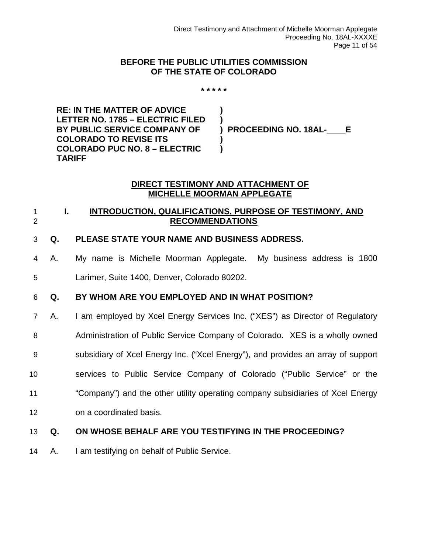#### **BEFORE THE PUBLIC UTILITIES COMMISSION OF THE STATE OF COLORADO**

**\* \* \* \* \***

**) )**

**) )**

**RE: IN THE MATTER OF ADVICE LETTER NO. 1785 – ELECTRIC FILED BY PUBLIC SERVICE COMPANY OF COLORADO TO REVISE ITS COLORADO PUC NO. 8 – ELECTRIC TARIFF**

**) PROCEEDING NO. 18AL-\_\_\_\_E**

#### **DIRECT TESTIMONY AND ATTACHMENT OF MICHELLE MOORMAN APPLEGATE**

#### <span id="page-10-0"></span>1 **I. INTRODUCTION, QUALIFICATIONS, PURPOSE OF TESTIMONY, AND**  2 **RECOMMENDATIONS**

#### 3 **Q. PLEASE STATE YOUR NAME AND BUSINESS ADDRESS.**

4 A. My name is Michelle Moorman Applegate. My business address is 1800

5 Larimer, Suite 1400, Denver, Colorado 80202.

#### 6 **Q. BY WHOM ARE YOU EMPLOYED AND IN WHAT POSITION?**

- 7 A. I am employed by Xcel Energy Services Inc. ("XES") as Director of Regulatory
- 8 Administration of Public Service Company of Colorado. XES is a wholly owned
- 9 subsidiary of Xcel Energy Inc. ("Xcel Energy"), and provides an array of support
- 10 services to Public Service Company of Colorado ("Public Service" or the
- 11 "Company") and the other utility operating company subsidiaries of Xcel Energy
- 12 on a coordinated basis.

#### 13 **Q. ON WHOSE BEHALF ARE YOU TESTIFYING IN THE PROCEEDING?**

14 A. I am testifying on behalf of Public Service.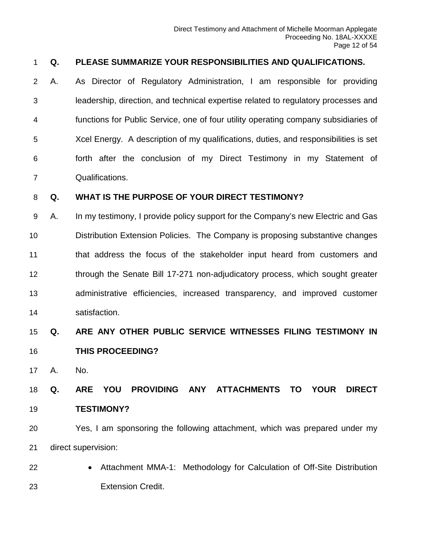#### **Q. PLEASE SUMMARIZE YOUR RESPONSIBILITIES AND QUALIFICATIONS.**

 A. As Director of Regulatory Administration, I am responsible for providing leadership, direction, and technical expertise related to regulatory processes and functions for Public Service, one of four utility operating company subsidiaries of Xcel Energy. A description of my qualifications, duties, and responsibilities is set forth after the conclusion of my Direct Testimony in my Statement of Qualifications.

#### **Q. WHAT IS THE PURPOSE OF YOUR DIRECT TESTIMONY?**

 A. In my testimony, I provide policy support for the Company's new Electric and Gas Distribution Extension Policies. The Company is proposing substantive changes that address the focus of the stakeholder input heard from customers and 12 through the Senate Bill 17-271 non-adjudicatory process, which sought greater administrative efficiencies, increased transparency, and improved customer satisfaction.

# **Q. ARE ANY OTHER PUBLIC SERVICE WITNESSES FILING TESTIMONY IN THIS PROCEEDING?**

A. No.

 **Q. ARE YOU PROVIDING ANY ATTACHMENTS TO YOUR DIRECT TESTIMONY?**

 Yes, I am sponsoring the following attachment, which was prepared under my direct supervision:

 • Attachment MMA-1: Methodology for Calculation of Off-Site Distribution Extension Credit.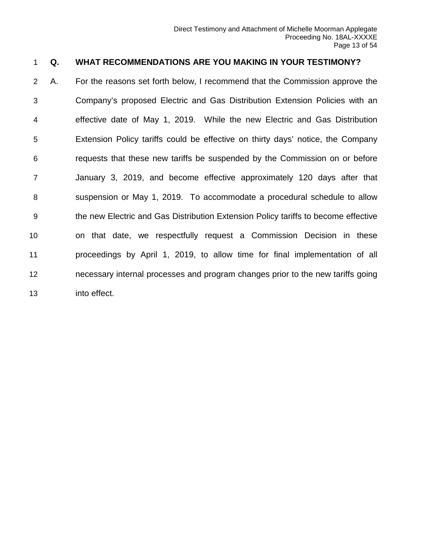#### **Q. WHAT RECOMMENDATIONS ARE YOU MAKING IN YOUR TESTIMONY?**

 A. For the reasons set forth below, I recommend that the Commission approve the Company's proposed Electric and Gas Distribution Extension Policies with an effective date of May 1, 2019. While the new Electric and Gas Distribution Extension Policy tariffs could be effective on thirty days' notice, the Company requests that these new tariffs be suspended by the Commission on or before January 3, 2019, and become effective approximately 120 days after that suspension or May 1, 2019. To accommodate a procedural schedule to allow the new Electric and Gas Distribution Extension Policy tariffs to become effective on that date, we respectfully request a Commission Decision in these proceedings by April 1, 2019, to allow time for final implementation of all necessary internal processes and program changes prior to the new tariffs going into effect.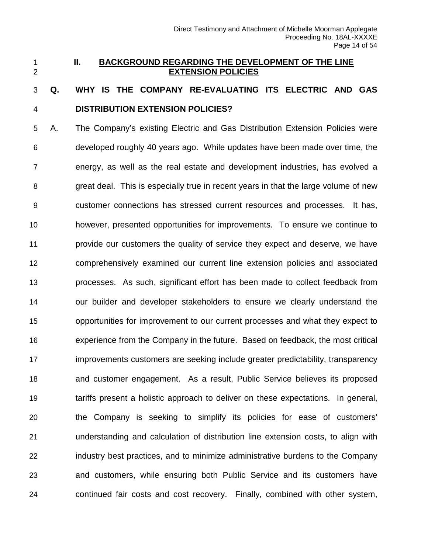#### <span id="page-13-0"></span> **II. BACKGROUND REGARDING THE DEVELOPMENT OF THE LINE EXTENSION POLICIES**

# **Q. WHY IS THE COMPANY RE-EVALUATING ITS ELECTRIC AND GAS DISTRIBUTION EXTENSION POLICIES?**

 A. The Company's existing Electric and Gas Distribution Extension Policies were developed roughly 40 years ago. While updates have been made over time, the energy, as well as the real estate and development industries, has evolved a great deal. This is especially true in recent years in that the large volume of new customer connections has stressed current resources and processes. It has, however, presented opportunities for improvements. To ensure we continue to provide our customers the quality of service they expect and deserve, we have comprehensively examined our current line extension policies and associated processes. As such, significant effort has been made to collect feedback from our builder and developer stakeholders to ensure we clearly understand the opportunities for improvement to our current processes and what they expect to experience from the Company in the future. Based on feedback, the most critical improvements customers are seeking include greater predictability, transparency and customer engagement. As a result, Public Service believes its proposed tariffs present a holistic approach to deliver on these expectations. In general, the Company is seeking to simplify its policies for ease of customers' understanding and calculation of distribution line extension costs, to align with industry best practices, and to minimize administrative burdens to the Company and customers, while ensuring both Public Service and its customers have continued fair costs and cost recovery. Finally, combined with other system,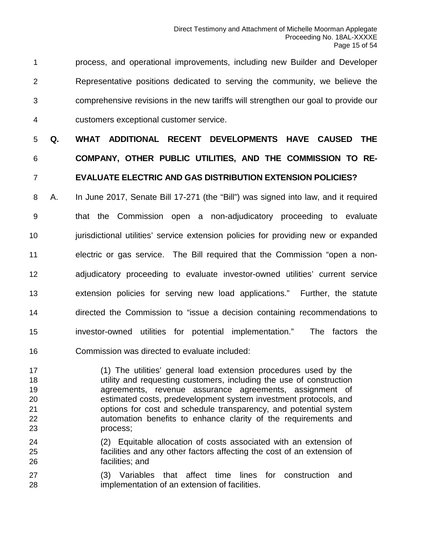process, and operational improvements, including new Builder and Developer Representative positions dedicated to serving the community, we believe the comprehensive revisions in the new tariffs will strengthen our goal to provide our customers exceptional customer service.

# **Q. WHAT ADDITIONAL RECENT DEVELOPMENTS HAVE CAUSED THE COMPANY, OTHER PUBLIC UTILITIES, AND THE COMMISSION TO RE-EVALUATE ELECTRIC AND GAS DISTRIBUTION EXTENSION POLICIES?**

 A. In June 2017, Senate Bill 17-271 (the "Bill") was signed into law, and it required that the Commission open a non-adjudicatory proceeding to evaluate **jurisdictional utilities' service extension policies for providing new or expanded**  electric or gas service. The Bill required that the Commission "open a non- adjudicatory proceeding to evaluate investor-owned utilities' current service extension policies for serving new load applications." Further, the statute directed the Commission to "issue a decision containing recommendations to investor-owned utilities for potential implementation." The factors the Commission was directed to evaluate included:

 (1) The utilities' general load extension procedures used by the utility and requesting customers, including the use of construction agreements, revenue assurance agreements, assignment of estimated costs, predevelopment system investment protocols, and options for cost and schedule transparency, and potential system automation benefits to enhance clarity of the requirements and process;

- (2) Equitable allocation of costs associated with an extension of facilities and any other factors affecting the cost of an extension of facilities; and
- (3) Variables that affect time lines for construction and implementation of an extension of facilities.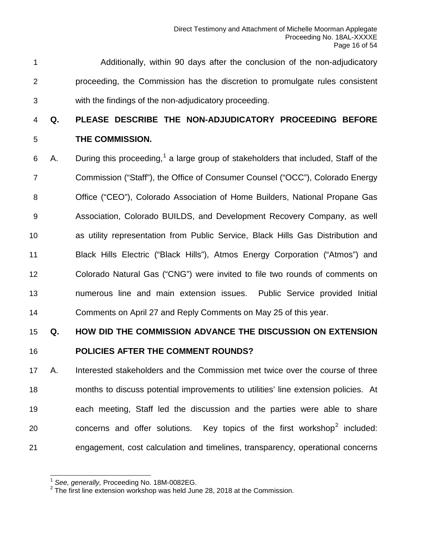Additionally, within 90 days after the conclusion of the non-adjudicatory proceeding, the Commission has the discretion to promulgate rules consistent with the findings of the non-adjudicatory proceeding.

# **Q. PLEASE DESCRIBE THE NON-ADJUDICATORY PROCEEDING BEFORE THE COMMISSION.**

6 A. During this proceeding,<sup>[1](#page-15-0)</sup> a large group of stakeholders that included, Staff of the Commission ("Staff"), the Office of Consumer Counsel ("OCC"), Colorado Energy Office ("CEO"), Colorado Association of Home Builders, National Propane Gas Association, Colorado BUILDS, and Development Recovery Company, as well as utility representation from Public Service, Black Hills Gas Distribution and Black Hills Electric ("Black Hills"), Atmos Energy Corporation ("Atmos") and Colorado Natural Gas ("CNG") were invited to file two rounds of comments on numerous line and main extension issues. Public Service provided Initial Comments on April 27 and Reply Comments on May 25 of this year.

#### **Q. HOW DID THE COMMISSION ADVANCE THE DISCUSSION ON EXTENSION**

#### **POLICIES AFTER THE COMMENT ROUNDS?**

 A. Interested stakeholders and the Commission met twice over the course of three months to discuss potential improvements to utilities' line extension policies. At each meeting, Staff led the discussion and the parties were able to share 0  $\sim$  concerns and offer solutions. Key topics of the first workshop<sup>2</sup> included: engagement, cost calculation and timelines, transparency, operational concerns

<sup>1</sup> *See, generally,* Proceeding No. 18M-0082EG.

<span id="page-15-1"></span><span id="page-15-0"></span><sup>&</sup>lt;sup>2</sup> The first line extension workshop was held June 28, 2018 at the Commission.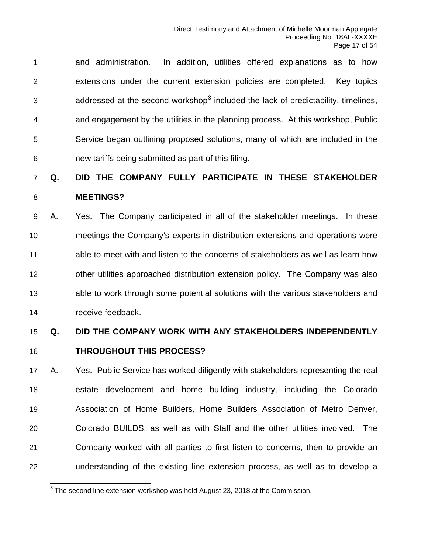and administration. In addition, utilities offered explanations as to how extensions under the current extension policies are completed. Key topics  $\alpha$  addressed at the second workshop<sup>[3](#page-16-0)</sup> included the lack of predictability, timelines, and engagement by the utilities in the planning process. At this workshop, Public Service began outlining proposed solutions, many of which are included in the new tariffs being submitted as part of this filing.

### **Q. DID THE COMPANY FULLY PARTICIPATE IN THESE STAKEHOLDER MEETINGS?**

 A. Yes. The Company participated in all of the stakeholder meetings. In these meetings the Company's experts in distribution extensions and operations were able to meet with and listen to the concerns of stakeholders as well as learn how other utilities approached distribution extension policy. The Company was also able to work through some potential solutions with the various stakeholders and receive feedback.

### **Q. DID THE COMPANY WORK WITH ANY STAKEHOLDERS INDEPENDENTLY THROUGHOUT THIS PROCESS?**

 A. Yes. Public Service has worked diligently with stakeholders representing the real estate development and home building industry, including the Colorado Association of Home Builders, Home Builders Association of Metro Denver, Colorado BUILDS, as well as with Staff and the other utilities involved. The Company worked with all parties to first listen to concerns, then to provide an understanding of the existing line extension process, as well as to develop a

<span id="page-16-0"></span>The second line extension workshop was held August 23, 2018 at the Commission.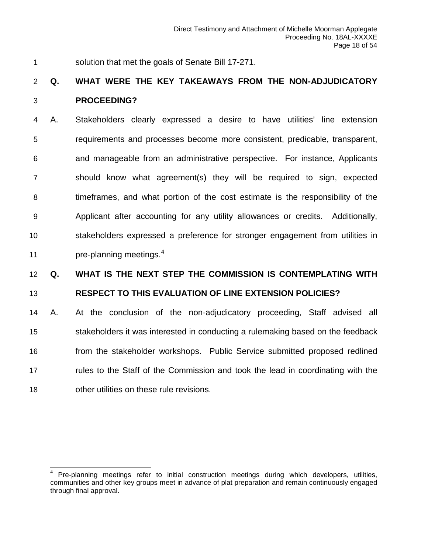solution that met the goals of Senate Bill 17-271.

### **Q. WHAT WERE THE KEY TAKEAWAYS FROM THE NON-ADJUDICATORY PROCEEDING?**

 A. Stakeholders clearly expressed a desire to have utilities' line extension requirements and processes become more consistent, predicable, transparent, and manageable from an administrative perspective. For instance, Applicants should know what agreement(s) they will be required to sign, expected timeframes, and what portion of the cost estimate is the responsibility of the Applicant after accounting for any utility allowances or credits. Additionally, stakeholders expressed a preference for stronger engagement from utilities in **pre-planning meetings.**<sup>[4](#page-17-0)</sup>

### **Q. WHAT IS THE NEXT STEP THE COMMISSION IS CONTEMPLATING WITH**

#### **RESPECT TO THIS EVALUATION OF LINE EXTENSION POLICIES?**

 A. At the conclusion of the non-adjudicatory proceeding, Staff advised all stakeholders it was interested in conducting a rulemaking based on the feedback from the stakeholder workshops. Public Service submitted proposed redlined rules to the Staff of the Commission and took the lead in coordinating with the other utilities on these rule revisions.

<span id="page-17-0"></span>Pre-planning meetings refer to initial construction meetings during which developers, utilities, communities and other key groups meet in advance of plat preparation and remain continuously engaged through final approval.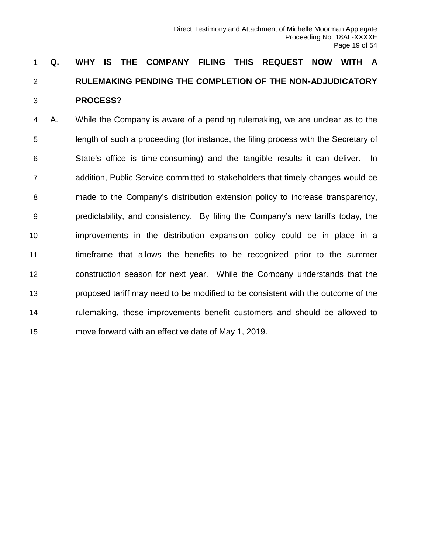# **Q. WHY IS THE COMPANY FILING THIS REQUEST NOW WITH A RULEMAKING PENDING THE COMPLETION OF THE NON-ADJUDICATORY PROCESS?**

 A. While the Company is aware of a pending rulemaking, we are unclear as to the length of such a proceeding (for instance, the filing process with the Secretary of State's office is time-consuming) and the tangible results it can deliver. In addition, Public Service committed to stakeholders that timely changes would be made to the Company's distribution extension policy to increase transparency, predictability, and consistency. By filing the Company's new tariffs today, the improvements in the distribution expansion policy could be in place in a timeframe that allows the benefits to be recognized prior to the summer construction season for next year. While the Company understands that the proposed tariff may need to be modified to be consistent with the outcome of the rulemaking, these improvements benefit customers and should be allowed to move forward with an effective date of May 1, 2019.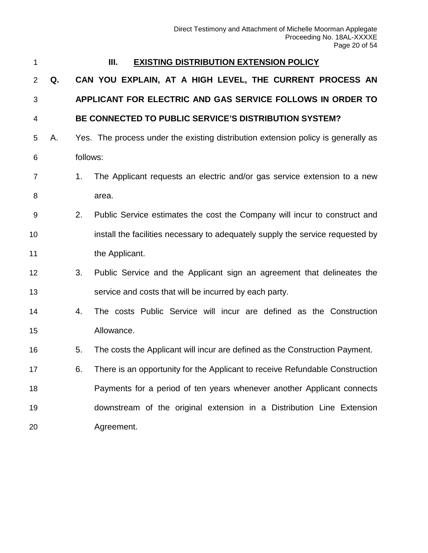<span id="page-19-0"></span>

#### **III. EXISTING DISTRIBUTION EXTENSION POLICY**

 **Q. CAN YOU EXPLAIN, AT A HIGH LEVEL, THE CURRENT PROCESS AN APPLICANT FOR ELECTRIC AND GAS SERVICE FOLLOWS IN ORDER TO** 

#### **BE CONNECTED TO PUBLIC SERVICE'S DISTRIBUTION SYSTEM?**

- A. Yes. The process under the existing distribution extension policy is generally as follows:
- 1. The Applicant requests an electric and/or gas service extension to a new 8 area.
- 2. Public Service estimates the cost the Company will incur to construct and install the facilities necessary to adequately supply the service requested by 11 the Applicant.
- 3. Public Service and the Applicant sign an agreement that delineates the service and costs that will be incurred by each party.
- 4. The costs Public Service will incur are defined as the Construction Allowance.
- 5. The costs the Applicant will incur are defined as the Construction Payment.
- 6. There is an opportunity for the Applicant to receive Refundable Construction Payments for a period of ten years whenever another Applicant connects downstream of the original extension in a Distribution Line Extension Agreement.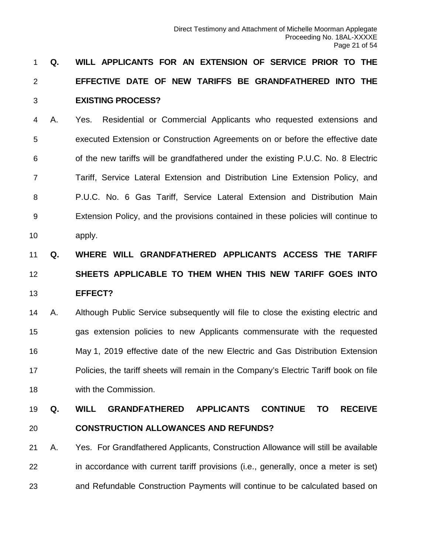# **Q. WILL APPLICANTS FOR AN EXTENSION OF SERVICE PRIOR TO THE EFFECTIVE DATE OF NEW TARIFFS BE GRANDFATHERED INTO THE EXISTING PROCESS?**

 A. Yes. Residential or Commercial Applicants who requested extensions and executed Extension or Construction Agreements on or before the effective date of the new tariffs will be grandfathered under the existing P.U.C. No. 8 Electric Tariff, Service Lateral Extension and Distribution Line Extension Policy, and P.U.C. No. 6 Gas Tariff, Service Lateral Extension and Distribution Main Extension Policy, and the provisions contained in these policies will continue to apply.

# **Q. WHERE WILL GRANDFATHERED APPLICANTS ACCESS THE TARIFF SHEETS APPLICABLE TO THEM WHEN THIS NEW TARIFF GOES INTO EFFECT?**

 A. Although Public Service subsequently will file to close the existing electric and gas extension policies to new Applicants commensurate with the requested May 1, 2019 effective date of the new Electric and Gas Distribution Extension Policies, the tariff sheets will remain in the Company's Electric Tariff book on file with the Commission.

# **Q. WILL GRANDFATHERED APPLICANTS CONTINUE TO RECEIVE CONSTRUCTION ALLOWANCES AND REFUNDS?**

 A. Yes. For Grandfathered Applicants, Construction Allowance will still be available in accordance with current tariff provisions (i.e., generally, once a meter is set) and Refundable Construction Payments will continue to be calculated based on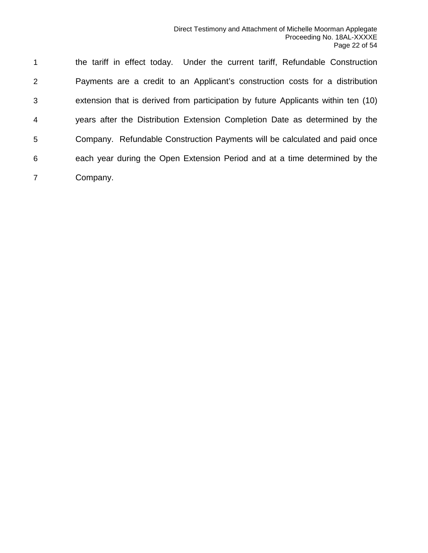the tariff in effect today. Under the current tariff, Refundable Construction Payments are a credit to an Applicant's construction costs for a distribution extension that is derived from participation by future Applicants within ten (10) years after the Distribution Extension Completion Date as determined by the Company. Refundable Construction Payments will be calculated and paid once each year during the Open Extension Period and at a time determined by the Company.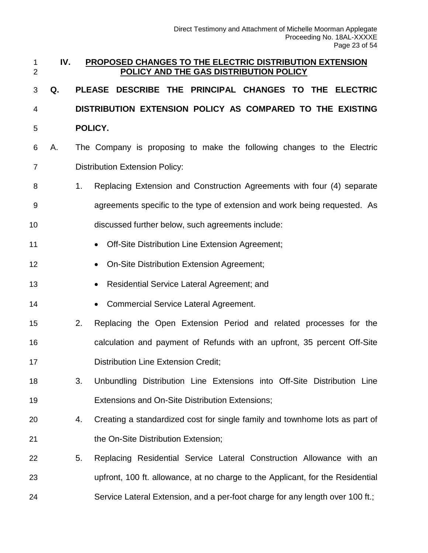<span id="page-22-0"></span>

| 1<br>$\overline{2}$ | IV. |                                                         | PROPOSED CHANGES TO THE ELECTRIC DISTRIBUTION EXTENSION<br>POLICY AND THE GAS DISTRIBUTION POLICY |  |  |  |
|---------------------|-----|---------------------------------------------------------|---------------------------------------------------------------------------------------------------|--|--|--|
| 3                   | Q.  |                                                         | PLEASE DESCRIBE THE PRINCIPAL CHANGES TO THE ELECTRIC                                             |  |  |  |
| 4                   |     |                                                         | DISTRIBUTION EXTENSION POLICY AS COMPARED TO THE EXISTING                                         |  |  |  |
| 5                   |     |                                                         | POLICY.                                                                                           |  |  |  |
| 6                   | А.  |                                                         | The Company is proposing to make the following changes to the Electric                            |  |  |  |
| $\overline{7}$      |     |                                                         | <b>Distribution Extension Policy:</b>                                                             |  |  |  |
| 8                   |     | 1 <sub>1</sub>                                          | Replacing Extension and Construction Agreements with four (4) separate                            |  |  |  |
| 9                   |     |                                                         | agreements specific to the type of extension and work being requested. As                         |  |  |  |
| 10                  |     |                                                         | discussed further below, such agreements include:                                                 |  |  |  |
| 11                  |     |                                                         | Off-Site Distribution Line Extension Agreement;<br>$\bullet$                                      |  |  |  |
| 12                  |     |                                                         | On-Site Distribution Extension Agreement;<br>$\bullet$                                            |  |  |  |
| 13                  |     | Residential Service Lateral Agreement; and<br>$\bullet$ |                                                                                                   |  |  |  |
| 14                  |     |                                                         | <b>Commercial Service Lateral Agreement.</b><br>$\bullet$                                         |  |  |  |
| 15                  |     | 2.                                                      | Replacing the Open Extension Period and related processes for the                                 |  |  |  |
| 16                  |     |                                                         | calculation and payment of Refunds with an upfront, 35 percent Off-Site                           |  |  |  |
| 17                  |     |                                                         | <b>Distribution Line Extension Credit;</b>                                                        |  |  |  |
| 18                  |     | 3.                                                      | Unbundling Distribution Line Extensions into Off-Site Distribution Line                           |  |  |  |
| 19                  |     |                                                         | Extensions and On-Site Distribution Extensions;                                                   |  |  |  |
| 20                  |     | 4.                                                      | Creating a standardized cost for single family and townhome lots as part of                       |  |  |  |
| 21                  |     |                                                         | the On-Site Distribution Extension;                                                               |  |  |  |
| 22                  |     | 5.                                                      | Replacing Residential Service Lateral Construction Allowance with an                              |  |  |  |
| 23                  |     |                                                         | upfront, 100 ft. allowance, at no charge to the Applicant, for the Residential                    |  |  |  |
| 24                  |     |                                                         | Service Lateral Extension, and a per-foot charge for any length over 100 ft.;                     |  |  |  |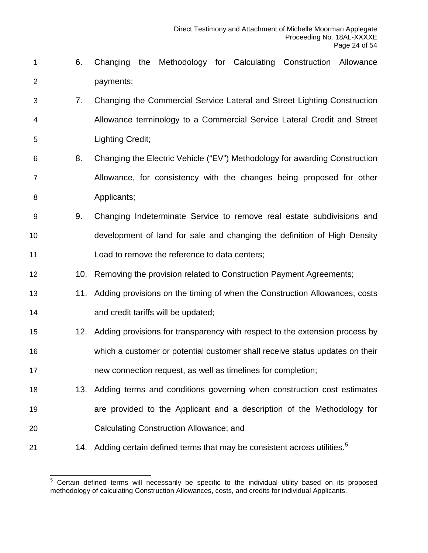- 6. Changing the Methodology for Calculating Construction Allowance payments;
- 7. Changing the Commercial Service Lateral and Street Lighting Construction Allowance terminology to a Commercial Service Lateral Credit and Street Lighting Credit;
- 8. Changing the Electric Vehicle ("EV") Methodology for awarding Construction Allowance, for consistency with the changes being proposed for other **Applicants**;
- 9. Changing Indeterminate Service to remove real estate subdivisions and development of land for sale and changing the definition of High Density Load to remove the reference to data centers;
- 12 10. Removing the provision related to Construction Payment Agreements;
- 11. Adding provisions on the timing of when the Construction Allowances, costs **and credit tariffs will be updated;**
- 12. Adding provisions for transparency with respect to the extension process by which a customer or potential customer shall receive status updates on their new connection request, as well as timelines for completion;
- 13. Adding terms and conditions governing when construction cost estimates are provided to the Applicant and a description of the Methodology for Calculating Construction Allowance; and
- <span id="page-23-0"></span>21 14. Adding certain defined terms that may be consistent across utilities.<sup>[5](#page-23-0)</sup>

 Certain defined terms will necessarily be specific to the individual utility based on its proposed methodology of calculating Construction Allowances, costs, and credits for individual Applicants.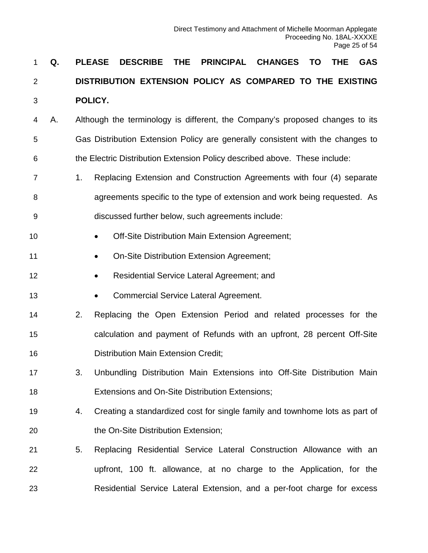# **Q. PLEASE DESCRIBE THE PRINCIPAL CHANGES TO THE GAS DISTRIBUTION EXTENSION POLICY AS COMPARED TO THE EXISTING POLICY.**

- A. Although the terminology is different, the Company's proposed changes to its Gas Distribution Extension Policy are generally consistent with the changes to the Electric Distribution Extension Policy described above. These include:
- 1. Replacing Extension and Construction Agreements with four (4) separate agreements specific to the type of extension and work being requested. As discussed further below, such agreements include:
- **•** Off-Site Distribution Main Extension Agreement;
- **On-Site Distribution Extension Agreement;**
- **Residential Service Lateral Agreement; and**
- **•** Commercial Service Lateral Agreement.
- 2. Replacing the Open Extension Period and related processes for the calculation and payment of Refunds with an upfront, 28 percent Off-Site Distribution Main Extension Credit;
- 3. Unbundling Distribution Main Extensions into Off-Site Distribution Main Extensions and On-Site Distribution Extensions;
- 4. Creating a standardized cost for single family and townhome lots as part of 20 the On-Site Distribution Extension;
- 5. Replacing Residential Service Lateral Construction Allowance with an upfront, 100 ft. allowance, at no charge to the Application, for the Residential Service Lateral Extension, and a per-foot charge for excess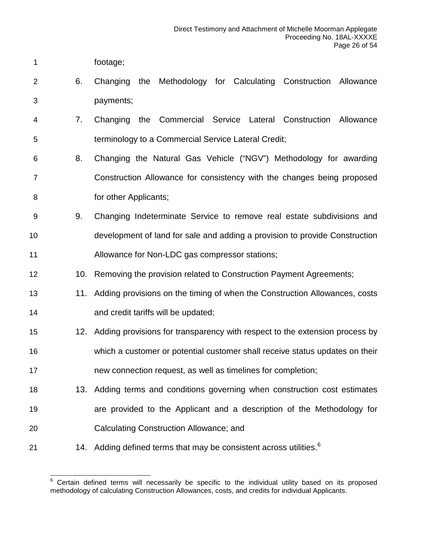- footage;
- 6. Changing the Methodology for Calculating Construction Allowance payments;
- 7. Changing the Commercial Service Lateral Construction Allowance terminology to a Commercial Service Lateral Credit;
- 8. Changing the Natural Gas Vehicle ("NGV") Methodology for awarding Construction Allowance for consistency with the changes being proposed **a for other Applicants**;
- 9. Changing Indeterminate Service to remove real estate subdivisions and development of land for sale and adding a provision to provide Construction Allowance for Non-LDC gas compressor stations;
- 12 10. Removing the provision related to Construction Payment Agreements;
- 13 11. Adding provisions on the timing of when the Construction Allowances, costs **and credit tariffs will be updated;**
- 12. Adding provisions for transparency with respect to the extension process by which a customer or potential customer shall receive status updates on their new connection request, as well as timelines for completion;
- 13. Adding terms and conditions governing when construction cost estimates are provided to the Applicant and a description of the Methodology for Calculating Construction Allowance; and
- <span id="page-25-0"></span>21 14. Adding defined terms that may be consistent across utilities.<sup>[6](#page-25-0)</sup>

 Certain defined terms will necessarily be specific to the individual utility based on its proposed methodology of calculating Construction Allowances, costs, and credits for individual Applicants.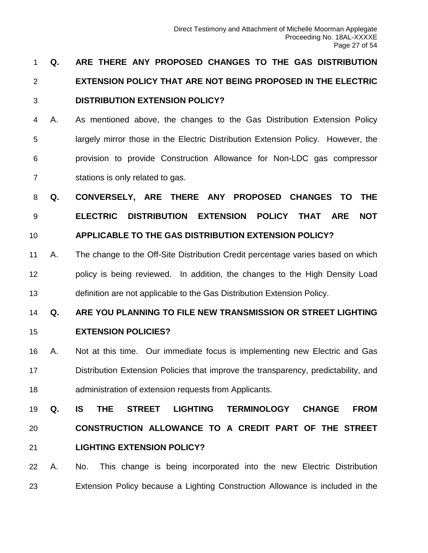# **Q. ARE THERE ANY PROPOSED CHANGES TO THE GAS DISTRIBUTION EXTENSION POLICY THAT ARE NOT BEING PROPOSED IN THE ELECTRIC DISTRIBUTION EXTENSION POLICY?**

 A. As mentioned above, the changes to the Gas Distribution Extension Policy largely mirror those in the Electric Distribution Extension Policy. However, the provision to provide Construction Allowance for Non-LDC gas compressor stations is only related to gas.

 **Q. CONVERSELY, ARE THERE ANY PROPOSED CHANGES TO THE ELECTRIC DISTRIBUTION EXTENSION POLICY THAT ARE NOT APPLICABLE TO THE GAS DISTRIBUTION EXTENSION POLICY?**

 A. The change to the Off-Site Distribution Credit percentage varies based on which policy is being reviewed. In addition, the changes to the High Density Load definition are not applicable to the Gas Distribution Extension Policy.

 **Q. ARE YOU PLANNING TO FILE NEW TRANSMISSION OR STREET LIGHTING EXTENSION POLICIES?**

 A. Not at this time. Our immediate focus is implementing new Electric and Gas Distribution Extension Policies that improve the transparency, predictability, and administration of extension requests from Applicants.

 **Q. IS THE STREET LIGHTING TERMINOLOGY CHANGE FROM CONSTRUCTION ALLOWANCE TO A CREDIT PART OF THE STREET LIGHTING EXTENSION POLICY?**

 A. No. This change is being incorporated into the new Electric Distribution Extension Policy because a Lighting Construction Allowance is included in the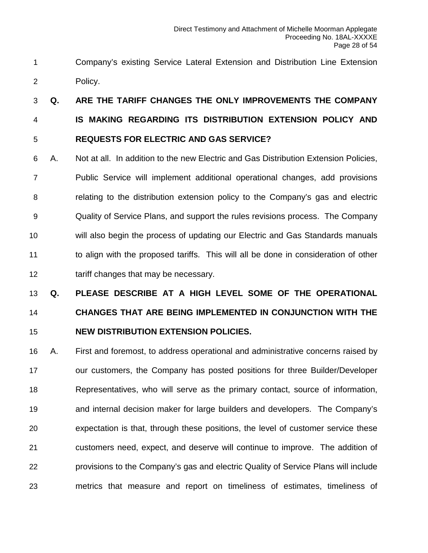Company's existing Service Lateral Extension and Distribution Line Extension Policy.

 **Q. ARE THE TARIFF CHANGES THE ONLY IMPROVEMENTS THE COMPANY IS MAKING REGARDING ITS DISTRIBUTION EXTENSION POLICY AND REQUESTS FOR ELECTRIC AND GAS SERVICE?**

 A. Not at all. In addition to the new Electric and Gas Distribution Extension Policies, Public Service will implement additional operational changes, add provisions relating to the distribution extension policy to the Company's gas and electric Quality of Service Plans, and support the rules revisions process. The Company will also begin the process of updating our Electric and Gas Standards manuals to align with the proposed tariffs. This will all be done in consideration of other tariff changes that may be necessary.

# **Q. PLEASE DESCRIBE AT A HIGH LEVEL SOME OF THE OPERATIONAL CHANGES THAT ARE BEING IMPLEMENTED IN CONJUNCTION WITH THE NEW DISTRIBUTION EXTENSION POLICIES.**

 A. First and foremost, to address operational and administrative concerns raised by our customers, the Company has posted positions for three Builder/Developer Representatives, who will serve as the primary contact, source of information, and internal decision maker for large builders and developers. The Company's expectation is that, through these positions, the level of customer service these customers need, expect, and deserve will continue to improve. The addition of provisions to the Company's gas and electric Quality of Service Plans will include metrics that measure and report on timeliness of estimates, timeliness of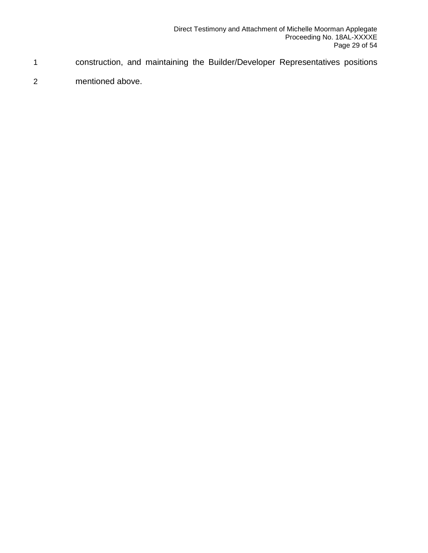- 1 construction, and maintaining the Builder/Developer Representatives positions
- 2 mentioned above.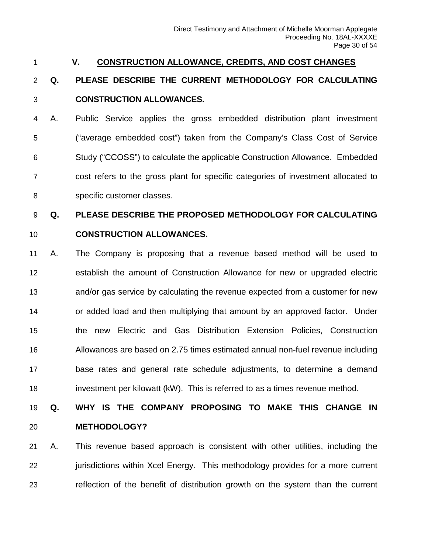#### <span id="page-29-0"></span>**V. CONSTRUCTION ALLOWANCE, CREDITS, AND COST CHANGES**

# **Q. PLEASE DESCRIBE THE CURRENT METHODOLOGY FOR CALCULATING CONSTRUCTION ALLOWANCES.**

 A. Public Service applies the gross embedded distribution plant investment ("average embedded cost") taken from the Company's Class Cost of Service Study ("CCOSS") to calculate the applicable Construction Allowance. Embedded cost refers to the gross plant for specific categories of investment allocated to specific customer classes.

# **Q. PLEASE DESCRIBE THE PROPOSED METHODOLOGY FOR CALCULATING**

#### **CONSTRUCTION ALLOWANCES.**

 A. The Company is proposing that a revenue based method will be used to establish the amount of Construction Allowance for new or upgraded electric and/or gas service by calculating the revenue expected from a customer for new or added load and then multiplying that amount by an approved factor. Under the new Electric and Gas Distribution Extension Policies, Construction Allowances are based on 2.75 times estimated annual non-fuel revenue including base rates and general rate schedule adjustments, to determine a demand investment per kilowatt (kW). This is referred to as a times revenue method.

# **Q. WHY IS THE COMPANY PROPOSING TO MAKE THIS CHANGE IN METHODOLOGY?**

 A. This revenue based approach is consistent with other utilities, including the 22 jurisdictions within Xcel Energy. This methodology provides for a more current reflection of the benefit of distribution growth on the system than the current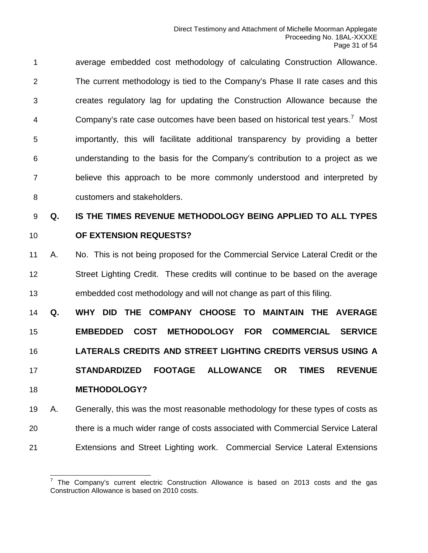average embedded cost methodology of calculating Construction Allowance. The current methodology is tied to the Company's Phase II rate cases and this creates regulatory lag for updating the Construction Allowance because the 4 Company's rate case outcomes have been based on historical test years.<sup>[7](#page-30-0)</sup> Most importantly, this will facilitate additional transparency by providing a better understanding to the basis for the Company's contribution to a project as we believe this approach to be more commonly understood and interpreted by customers and stakeholders.

### **Q. IS THE TIMES REVENUE METHODOLOGY BEING APPLIED TO ALL TYPES OF EXTENSION REQUESTS?**

 A. No. This is not being proposed for the Commercial Service Lateral Credit or the Street Lighting Credit. These credits will continue to be based on the average embedded cost methodology and will not change as part of this filing.

 **Q. WHY DID THE COMPANY CHOOSE TO MAINTAIN THE AVERAGE EMBEDDED COST METHODOLOGY FOR COMMERCIAL SERVICE LATERALS CREDITS AND STREET LIGHTING CREDITS VERSUS USING A STANDARDIZED FOOTAGE ALLOWANCE OR TIMES REVENUE METHODOLOGY?**

 A. Generally, this was the most reasonable methodology for these types of costs as there is a much wider range of costs associated with Commercial Service Lateral Extensions and Street Lighting work. Commercial Service Lateral Extensions

<span id="page-30-0"></span> $^7$  The Company's current electric Construction Allowance is based on 2013 costs and the gas Construction Allowance is based on 2010 costs.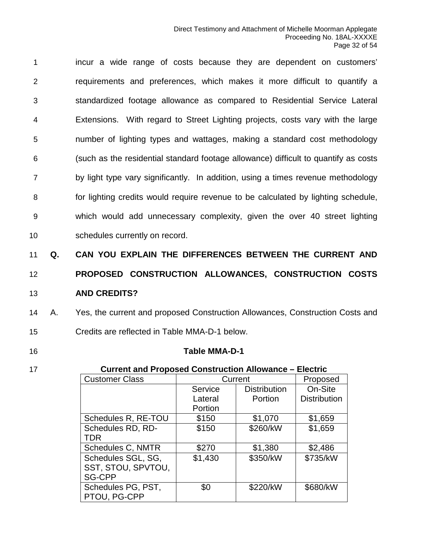incur a wide range of costs because they are dependent on customers' requirements and preferences, which makes it more difficult to quantify a standardized footage allowance as compared to Residential Service Lateral Extensions. With regard to Street Lighting projects, costs vary with the large number of lighting types and wattages, making a standard cost methodology (such as the residential standard footage allowance) difficult to quantify as costs by light type vary significantly. In addition, using a times revenue methodology for lighting credits would require revenue to be calculated by lighting schedule, which would add unnecessary complexity, given the over 40 street lighting schedules currently on record.

11 **Q. CAN YOU EXPLAIN THE DIFFERENCES BETWEEN THE CURRENT AND** 

# 12 **PROPOSED CONSTRUCTION ALLOWANCES, CONSTRUCTION COSTS**  13 **AND CREDITS?**

14 A. Yes, the current and proposed Construction Allowances, Construction Costs and 15 Credits are reflected in Table MMA-D-1 below.

### 16 **Table MMA-D-1**

17 **Current and Proposed Construction Allowance – Electric**

| <b>Customer Class</b>    | Current |                     | Proposed            |
|--------------------------|---------|---------------------|---------------------|
|                          | Service | <b>Distribution</b> | On-Site             |
|                          | Lateral | Portion             | <b>Distribution</b> |
|                          | Portion |                     |                     |
| Schedules R, RE-TOU      | \$150   | \$1,070             | \$1,659             |
| Schedules RD, RD-        | \$150   | \$260/kW            | \$1,659             |
| <b>TDR</b>               |         |                     |                     |
| <b>Schedules C, NMTR</b> | \$270   | \$1,380             | \$2,486             |
| Schedules SGL, SG,       | \$1,430 | \$350/kW            | \$735/kW            |
| SST, STOU, SPVTOU,       |         |                     |                     |
| <b>SG-CPP</b>            |         |                     |                     |
| Schedules PG, PST,       | \$0     | \$220/kW            | \$680/kW            |
| PTOU, PG-CPP             |         |                     |                     |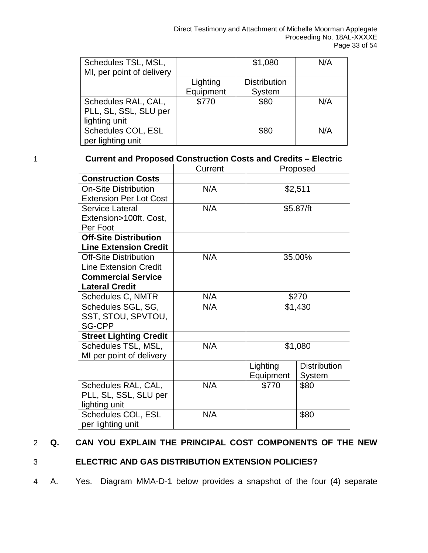| Schedules TSL, MSL,       |           | \$1,080             | N/A |
|---------------------------|-----------|---------------------|-----|
| MI, per point of delivery |           |                     |     |
|                           | Lighting  | <b>Distribution</b> |     |
|                           | Equipment | System              |     |
| Schedules RAL, CAL,       | \$770     | \$80                | N/A |
| PLL, SL, SSL, SLU per     |           |                     |     |
| lighting unit             |           |                     |     |
| Schedules COL, ESL        |           | \$80                | N/A |
| per lighting unit         |           |                     |     |

1 **Current and Proposed Construction Costs and Credits – Electric**

|                               | Current | Proposed  |                     |
|-------------------------------|---------|-----------|---------------------|
| <b>Construction Costs</b>     |         |           |                     |
| <b>On-Site Distribution</b>   | N/A     | \$2,511   |                     |
| <b>Extension Per Lot Cost</b> |         |           |                     |
| Service Lateral               | N/A     |           | \$5.87/ft           |
| Extension>100ft. Cost,        |         |           |                     |
| Per Foot                      |         |           |                     |
| <b>Off-Site Distribution</b>  |         |           |                     |
| <b>Line Extension Credit</b>  |         |           |                     |
| <b>Off-Site Distribution</b>  | N/A     |           | 35.00%              |
| <b>Line Extension Credit</b>  |         |           |                     |
| <b>Commercial Service</b>     |         |           |                     |
| <b>Lateral Credit</b>         |         |           |                     |
| Schedules C, NMTR             | N/A     | \$270     |                     |
| Schedules SGL, SG,            | N/A     | \$1,430   |                     |
| SST, STOU, SPVTOU,            |         |           |                     |
| <b>SG-CPP</b>                 |         |           |                     |
| <b>Street Lighting Credit</b> |         |           |                     |
| Schedules TSL, MSL,           | N/A     | \$1,080   |                     |
| MI per point of delivery      |         |           |                     |
|                               |         | Lighting  | <b>Distribution</b> |
|                               |         | Equipment | System              |
| Schedules RAL, CAL,           | N/A     | \$770     | \$80                |
| PLL, SL, SSL, SLU per         |         |           |                     |
| lighting unit                 |         |           |                     |
| Schedules COL, ESL            | N/A     | \$80      |                     |
| per lighting unit             |         |           |                     |

#### 2 **Q. CAN YOU EXPLAIN THE PRINCIPAL COST COMPONENTS OF THE NEW**

#### 3 **ELECTRIC AND GAS DISTRIBUTION EXTENSION POLICIES?**

4 A. Yes. Diagram MMA-D-1 below provides a snapshot of the four (4) separate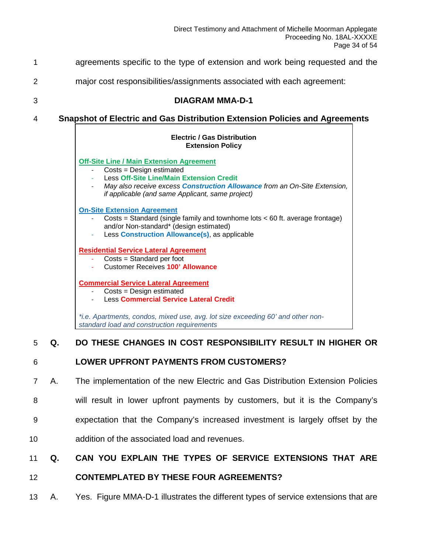| 1 | agreements specific to the type of extension and work being requested and the                                                                                                                                                                                          |
|---|------------------------------------------------------------------------------------------------------------------------------------------------------------------------------------------------------------------------------------------------------------------------|
| 2 | major cost responsibilities/assignments associated with each agreement:                                                                                                                                                                                                |
| 3 | <b>DIAGRAM MMA-D-1</b>                                                                                                                                                                                                                                                 |
| 4 | <b>Snapshot of Electric and Gas Distribution Extension Policies and Agreements</b>                                                                                                                                                                                     |
|   | <b>Electric / Gas Distribution</b><br><b>Extension Policy</b>                                                                                                                                                                                                          |
|   | <b>Off-Site Line / Main Extension Agreement</b><br>Costs = Design estimated<br><b>Less Off-Site Line/Main Extension Credit</b><br>May also receive excess <b>Construction Allowance</b> from an On-Site Extension,<br>if applicable (and same Applicant, same project) |
|   | <b>On-Site Extension Agreement</b><br>Costs = Standard (single family and townhome lots < 60 ft. average frontage)<br>and/or Non-standard* (design estimated)<br>Less Construction Allowance(s), as applicable                                                         |
|   | <b>Residential Service Lateral Agreement</b><br>Costs = Standard per foot<br><b>Customer Receives 100' Allowance</b>                                                                                                                                                   |
|   | <b>Commercial Service Lateral Agreement</b><br>Costs = Design estimated<br><b>Less Commercial Service Lateral Credit</b>                                                                                                                                               |
|   | *i.e. Apartments, condos, mixed use, avg. lot size exceeding 60' and other non-<br>standard load and construction requirements                                                                                                                                         |
| 5 | DO THESE CHANGES IN COST RESPONSIBILITY RESULT IN HIGHER OR<br>Q.                                                                                                                                                                                                      |

#### 6 **LOWER UPFRONT PAYMENTS FROM CUSTOMERS?**

- 7 A. The implementation of the new Electric and Gas Distribution Extension Policies
- 8 will result in lower upfront payments by customers, but it is the Company's
- 9 expectation that the Company's increased investment is largely offset by the
- 10 addition of the associated load and revenues.

### 11 **Q. CAN YOU EXPLAIN THE TYPES OF SERVICE EXTENSIONS THAT ARE**

#### 12 **CONTEMPLATED BY THESE FOUR AGREEMENTS?**

13 A. Yes. Figure MMA-D-1 illustrates the different types of service extensions that are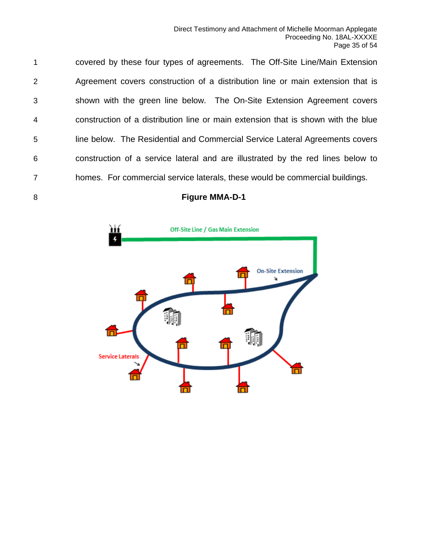covered by these four types of agreements. The Off-Site Line/Main Extension Agreement covers construction of a distribution line or main extension that is shown with the green line below. The On-Site Extension Agreement covers construction of a distribution line or main extension that is shown with the blue line below. The Residential and Commercial Service Lateral Agreements covers construction of a service lateral and are illustrated by the red lines below to homes. For commercial service laterals, these would be commercial buildings.

#### **Figure MMA-D-1**

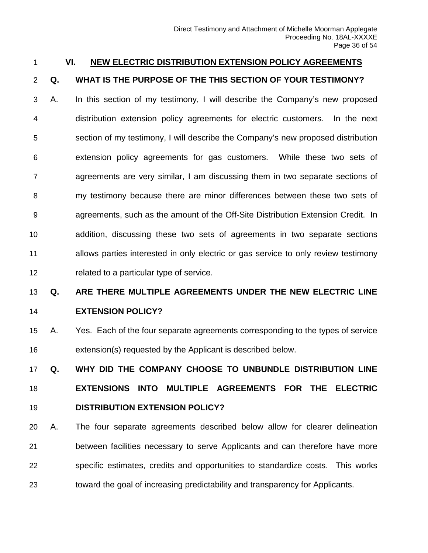#### <span id="page-35-0"></span>**VI. NEW ELECTRIC DISTRIBUTION EXTENSION POLICY AGREEMENTS**

#### **Q. WHAT IS THE PURPOSE OF THE THIS SECTION OF YOUR TESTIMONY?**

 A. In this section of my testimony, I will describe the Company's new proposed distribution extension policy agreements for electric customers. In the next section of my testimony, I will describe the Company's new proposed distribution extension policy agreements for gas customers. While these two sets of agreements are very similar, I am discussing them in two separate sections of my testimony because there are minor differences between these two sets of agreements, such as the amount of the Off-Site Distribution Extension Credit. In addition, discussing these two sets of agreements in two separate sections allows parties interested in only electric or gas service to only review testimony related to a particular type of service.

#### **Q. ARE THERE MULTIPLE AGREEMENTS UNDER THE NEW ELECTRIC LINE**

#### **EXTENSION POLICY?**

 A. Yes. Each of the four separate agreements corresponding to the types of service extension(s) requested by the Applicant is described below.

 **Q. WHY DID THE COMPANY CHOOSE TO UNBUNDLE DISTRIBUTION LINE EXTENSIONS INTO MULTIPLE AGREEMENTS FOR THE ELECTRIC DISTRIBUTION EXTENSION POLICY?**

 A. The four separate agreements described below allow for clearer delineation between facilities necessary to serve Applicants and can therefore have more specific estimates, credits and opportunities to standardize costs. This works toward the goal of increasing predictability and transparency for Applicants.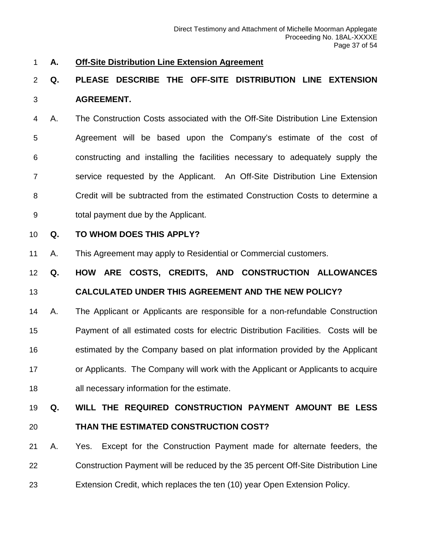#### <span id="page-36-0"></span>**A. Off-Site Distribution Line Extension Agreement**

# **Q. PLEASE DESCRIBE THE OFF-SITE DISTRIBUTION LINE EXTENSION AGREEMENT.**

 A. The Construction Costs associated with the Off-Site Distribution Line Extension Agreement will be based upon the Company's estimate of the cost of constructing and installing the facilities necessary to adequately supply the service requested by the Applicant. An Off-Site Distribution Line Extension Credit will be subtracted from the estimated Construction Costs to determine a total payment due by the Applicant.

#### **Q. TO WHOM DOES THIS APPLY?**

A. This Agreement may apply to Residential or Commercial customers.

**Q. HOW ARE COSTS, CREDITS, AND CONSTRUCTION ALLOWANCES** 

#### **CALCULATED UNDER THIS AGREEMENT AND THE NEW POLICY?**

 A. The Applicant or Applicants are responsible for a non-refundable Construction Payment of all estimated costs for electric Distribution Facilities. Costs will be estimated by the Company based on plat information provided by the Applicant or Applicants. The Company will work with the Applicant or Applicants to acquire all necessary information for the estimate.

#### **Q. WILL THE REQUIRED CONSTRUCTION PAYMENT AMOUNT BE LESS**

### **THAN THE ESTIMATED CONSTRUCTION COST?**

 A. Yes. Except for the Construction Payment made for alternate feeders, the Construction Payment will be reduced by the 35 percent Off-Site Distribution Line Extension Credit, which replaces the ten (10) year Open Extension Policy.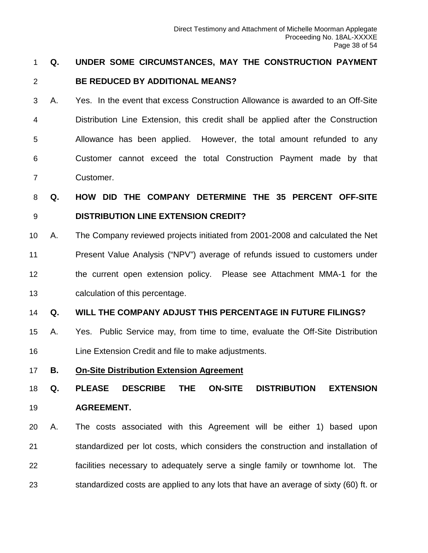#### **Q. UNDER SOME CIRCUMSTANCES, MAY THE CONSTRUCTION PAYMENT**

#### **BE REDUCED BY ADDITIONAL MEANS?**

 A. Yes. In the event that excess Construction Allowance is awarded to an Off-Site Distribution Line Extension, this credit shall be applied after the Construction Allowance has been applied. However, the total amount refunded to any Customer cannot exceed the total Construction Payment made by that Customer.

 **Q. HOW DID THE COMPANY DETERMINE THE 35 PERCENT OFF-SITE DISTRIBUTION LINE EXTENSION CREDIT?**

 A. The Company reviewed projects initiated from 2001-2008 and calculated the Net Present Value Analysis ("NPV") average of refunds issued to customers under the current open extension policy. Please see Attachment MMA-1 for the calculation of this percentage.

#### **Q. WILL THE COMPANY ADJUST THIS PERCENTAGE IN FUTURE FILINGS?**

- A. Yes. Public Service may, from time to time, evaluate the Off-Site Distribution Line Extension Credit and file to make adjustments.
- <span id="page-37-0"></span>**B. On-Site Distribution Extension Agreement**

 **Q. PLEASE DESCRIBE THE ON-SITE DISTRIBUTION EXTENSION AGREEMENT.**

 A. The costs associated with this Agreement will be either 1) based upon standardized per lot costs, which considers the construction and installation of facilities necessary to adequately serve a single family or townhome lot. The standardized costs are applied to any lots that have an average of sixty (60) ft. or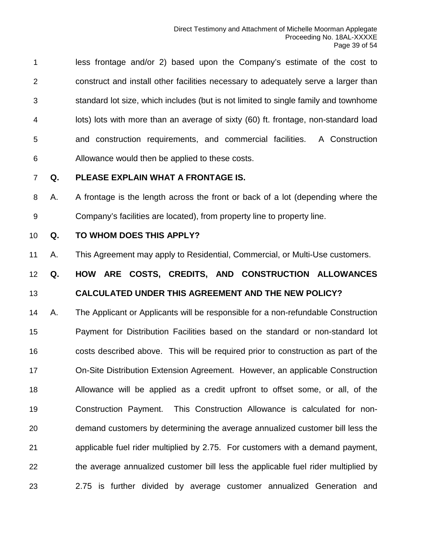less frontage and/or 2) based upon the Company's estimate of the cost to construct and install other facilities necessary to adequately serve a larger than standard lot size, which includes (but is not limited to single family and townhome lots) lots with more than an average of sixty (60) ft. frontage, non-standard load and construction requirements, and commercial facilities. A Construction Allowance would then be applied to these costs.

#### **Q. PLEASE EXPLAIN WHAT A FRONTAGE IS.**

 A. A frontage is the length across the front or back of a lot (depending where the Company's facilities are located), from property line to property line.

#### **Q. TO WHOM DOES THIS APPLY?**

A. This Agreement may apply to Residential, Commercial, or Multi-Use customers.

### **Q. HOW ARE COSTS, CREDITS, AND CONSTRUCTION ALLOWANCES CALCULATED UNDER THIS AGREEMENT AND THE NEW POLICY?**

 A. The Applicant or Applicants will be responsible for a non-refundable Construction Payment for Distribution Facilities based on the standard or non-standard lot costs described above. This will be required prior to construction as part of the On-Site Distribution Extension Agreement. However, an applicable Construction Allowance will be applied as a credit upfront to offset some, or all, of the Construction Payment. This Construction Allowance is calculated for non- demand customers by determining the average annualized customer bill less the applicable fuel rider multiplied by 2.75. For customers with a demand payment, the average annualized customer bill less the applicable fuel rider multiplied by 2.75 is further divided by average customer annualized Generation and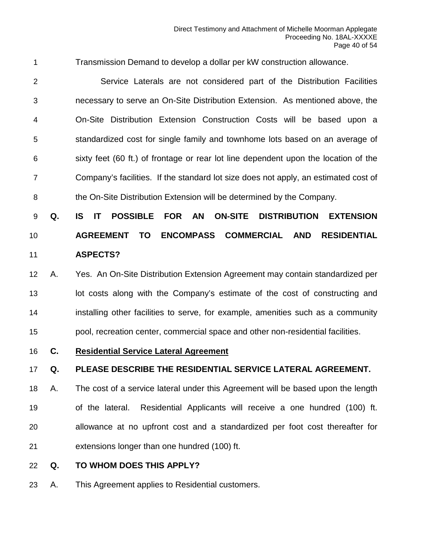Transmission Demand to develop a dollar per kW construction allowance.

 Service Laterals are not considered part of the Distribution Facilities necessary to serve an On-Site Distribution Extension. As mentioned above, the On-Site Distribution Extension Construction Costs will be based upon a standardized cost for single family and townhome lots based on an average of sixty feet (60 ft.) of frontage or rear lot line dependent upon the location of the Company's facilities. If the standard lot size does not apply, an estimated cost of the On-Site Distribution Extension will be determined by the Company.

# **Q. IS IT POSSIBLE FOR AN ON-SITE DISTRIBUTION EXTENSION AGREEMENT TO ENCOMPASS COMMERCIAL AND RESIDENTIAL ASPECTS?**

# A. Yes. An On-Site Distribution Extension Agreement may contain standardized per 13 lot costs along with the Company's estimate of the cost of constructing and installing other facilities to serve, for example, amenities such as a community pool, recreation center, commercial space and other non-residential facilities.

<span id="page-39-0"></span>**C. Residential Service Lateral Agreement**

#### **Q. PLEASE DESCRIBE THE RESIDENTIAL SERVICE LATERAL AGREEMENT.**

 A. The cost of a service lateral under this Agreement will be based upon the length of the lateral. Residential Applicants will receive a one hundred (100) ft. allowance at no upfront cost and a standardized per foot cost thereafter for extensions longer than one hundred (100) ft.

- **Q. TO WHOM DOES THIS APPLY?**
- A. This Agreement applies to Residential customers.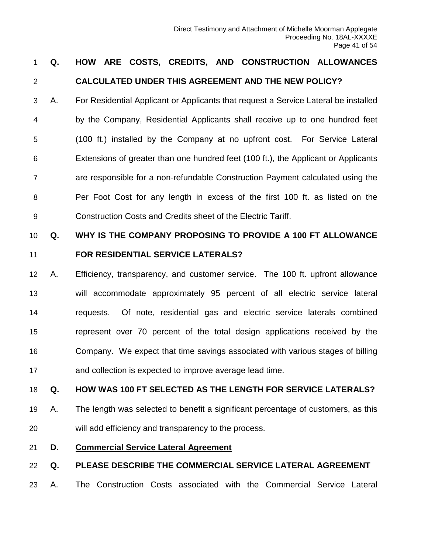### **Q. HOW ARE COSTS, CREDITS, AND CONSTRUCTION ALLOWANCES CALCULATED UNDER THIS AGREEMENT AND THE NEW POLICY?**

 A. For Residential Applicant or Applicants that request a Service Lateral be installed by the Company, Residential Applicants shall receive up to one hundred feet (100 ft.) installed by the Company at no upfront cost. For Service Lateral Extensions of greater than one hundred feet (100 ft.), the Applicant or Applicants are responsible for a non-refundable Construction Payment calculated using the Per Foot Cost for any length in excess of the first 100 ft. as listed on the Construction Costs and Credits sheet of the Electric Tariff.

# **Q. WHY IS THE COMPANY PROPOSING TO PROVIDE A 100 FT ALLOWANCE FOR RESIDENTIAL SERVICE LATERALS?**

 A. Efficiency, transparency, and customer service. The 100 ft. upfront allowance will accommodate approximately 95 percent of all electric service lateral requests. Of note, residential gas and electric service laterals combined represent over 70 percent of the total design applications received by the Company. We expect that time savings associated with various stages of billing and collection is expected to improve average lead time.

#### **Q. HOW WAS 100 FT SELECTED AS THE LENGTH FOR SERVICE LATERALS?**

- A. The length was selected to benefit a significant percentage of customers, as this will add efficiency and transparency to the process.
- <span id="page-40-0"></span>**D. Commercial Service Lateral Agreement**

#### **Q. PLEASE DESCRIBE THE COMMERCIAL SERVICE LATERAL AGREEMENT**

A. The Construction Costs associated with the Commercial Service Lateral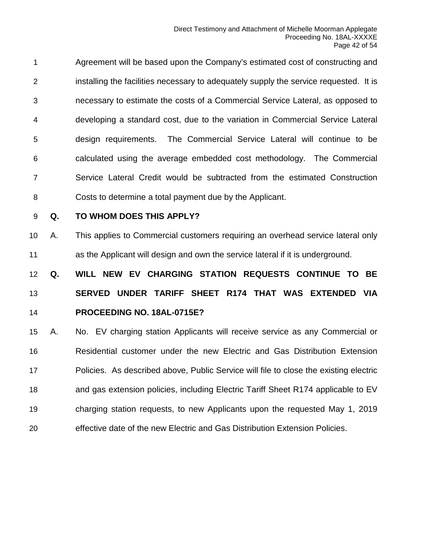Agreement will be based upon the Company's estimated cost of constructing and installing the facilities necessary to adequately supply the service requested. It is necessary to estimate the costs of a Commercial Service Lateral, as opposed to developing a standard cost, due to the variation in Commercial Service Lateral design requirements. The Commercial Service Lateral will continue to be calculated using the average embedded cost methodology. The Commercial Service Lateral Credit would be subtracted from the estimated Construction Costs to determine a total payment due by the Applicant.

#### **Q. TO WHOM DOES THIS APPLY?**

 A. This applies to Commercial customers requiring an overhead service lateral only as the Applicant will design and own the service lateral if it is underground.

 **Q. WILL NEW EV CHARGING STATION REQUESTS CONTINUE TO BE SERVED UNDER TARIFF SHEET R174 THAT WAS EXTENDED VIA PROCEEDING NO. 18AL-0715E?**

 A. No. EV charging station Applicants will receive service as any Commercial or Residential customer under the new Electric and Gas Distribution Extension Policies. As described above, Public Service will file to close the existing electric and gas extension policies, including Electric Tariff Sheet R174 applicable to EV charging station requests, to new Applicants upon the requested May 1, 2019 effective date of the new Electric and Gas Distribution Extension Policies.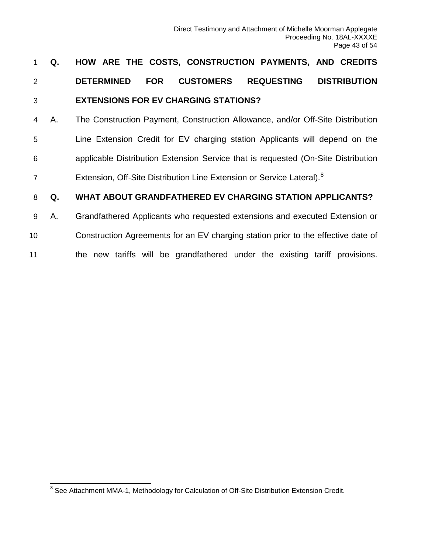# 1 **Q. HOW ARE THE COSTS, CONSTRUCTION PAYMENTS, AND CREDITS**  2 **DETERMINED FOR CUSTOMERS REQUESTING DISTRIBUTION**  3 **EXTENSIONS FOR EV CHARGING STATIONS?**

 A. The Construction Payment, Construction Allowance, and/or Off-Site Distribution Line Extension Credit for EV charging station Applicants will depend on the applicable Distribution Extension Service that is requested (On-Site Distribution 7 Extension, Off-Site Distribution Line Extension or Service Lateral).<sup>[8](#page-42-0)</sup>

#### 8 **Q. WHAT ABOUT GRANDFATHERED EV CHARGING STATION APPLICANTS?**

- 9 A. Grandfathered Applicants who requested extensions and executed Extension or
- 10 Construction Agreements for an EV charging station prior to the effective date of
- 11 the new tariffs will be grandfathered under the existing tariff provisions.

<span id="page-42-0"></span><sup>&</sup>lt;sup>8</sup> See Attachment MMA-1, Methodology for Calculation of Off-Site Distribution Extension Credit.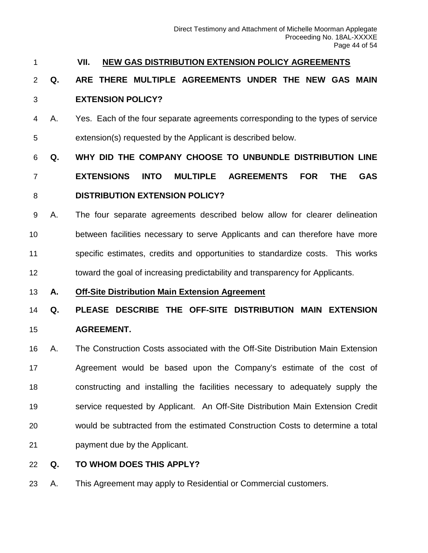#### <span id="page-43-0"></span>**VII. NEW GAS DISTRIBUTION EXTENSION POLICY AGREEMENTS**

### **Q. ARE THERE MULTIPLE AGREEMENTS UNDER THE NEW GAS MAIN EXTENSION POLICY?**

 A. Yes. Each of the four separate agreements corresponding to the types of service extension(s) requested by the Applicant is described below.

# **Q. WHY DID THE COMPANY CHOOSE TO UNBUNDLE DISTRIBUTION LINE**

### **EXTENSIONS INTO MULTIPLE AGREEMENTS FOR THE GAS DISTRIBUTION EXTENSION POLICY?**

 A. The four separate agreements described below allow for clearer delineation between facilities necessary to serve Applicants and can therefore have more specific estimates, credits and opportunities to standardize costs. This works toward the goal of increasing predictability and transparency for Applicants.

#### <span id="page-43-1"></span>**A. Off-Site Distribution Main Extension Agreement**

# **Q. PLEASE DESCRIBE THE OFF-SITE DISTRIBUTION MAIN EXTENSION AGREEMENT.**

 A. The Construction Costs associated with the Off-Site Distribution Main Extension Agreement would be based upon the Company's estimate of the cost of constructing and installing the facilities necessary to adequately supply the service requested by Applicant. An Off-Site Distribution Main Extension Credit would be subtracted from the estimated Construction Costs to determine a total payment due by the Applicant.

#### **Q. TO WHOM DOES THIS APPLY?**

A. This Agreement may apply to Residential or Commercial customers.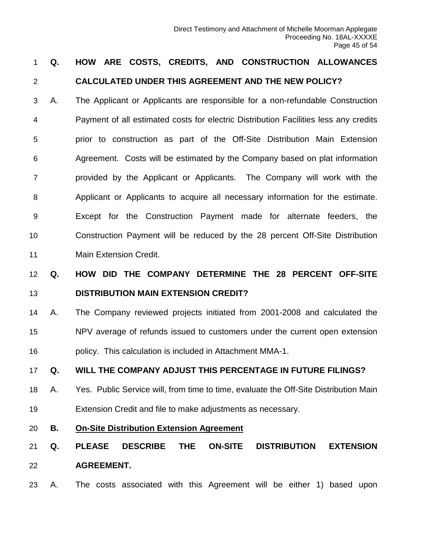# **Q. HOW ARE COSTS, CREDITS, AND CONSTRUCTION ALLOWANCES CALCULATED UNDER THIS AGREEMENT AND THE NEW POLICY?**

 A. The Applicant or Applicants are responsible for a non-refundable Construction Payment of all estimated costs for electric Distribution Facilities less any credits prior to construction as part of the Off-Site Distribution Main Extension Agreement. Costs will be estimated by the Company based on plat information provided by the Applicant or Applicants. The Company will work with the Applicant or Applicants to acquire all necessary information for the estimate. Except for the Construction Payment made for alternate feeders, the Construction Payment will be reduced by the 28 percent Off-Site Distribution Main Extension Credit.

# **Q. HOW DID THE COMPANY DETERMINE THE 28 PERCENT OFF-SITE DISTRIBUTION MAIN EXTENSION CREDIT?**

 A. The Company reviewed projects initiated from 2001-2008 and calculated the NPV average of refunds issued to customers under the current open extension policy. This calculation is included in Attachment MMA-1.

#### **Q. WILL THE COMPANY ADJUST THIS PERCENTAGE IN FUTURE FILINGS?**

- A. Yes. Public Service will, from time to time, evaluate the Off-Site Distribution Main Extension Credit and file to make adjustments as necessary.
- <span id="page-44-0"></span>**B. On-Site Distribution Extension Agreement**
- **Q. PLEASE DESCRIBE THE ON-SITE DISTRIBUTION EXTENSION AGREEMENT.**
- A. The costs associated with this Agreement will be either 1) based upon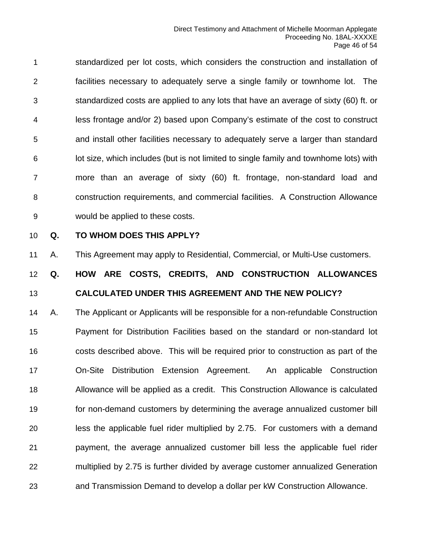standardized per lot costs, which considers the construction and installation of facilities necessary to adequately serve a single family or townhome lot. The standardized costs are applied to any lots that have an average of sixty (60) ft. or less frontage and/or 2) based upon Company's estimate of the cost to construct and install other facilities necessary to adequately serve a larger than standard lot size, which includes (but is not limited to single family and townhome lots) with more than an average of sixty (60) ft. frontage, non-standard load and construction requirements, and commercial facilities. A Construction Allowance would be applied to these costs.

#### **Q. TO WHOM DOES THIS APPLY?**

A. This Agreement may apply to Residential, Commercial, or Multi-Use customers.

### **Q. HOW ARE COSTS, CREDITS, AND CONSTRUCTION ALLOWANCES CALCULATED UNDER THIS AGREEMENT AND THE NEW POLICY?**

 A. The Applicant or Applicants will be responsible for a non-refundable Construction Payment for Distribution Facilities based on the standard or non-standard lot costs described above. This will be required prior to construction as part of the On-Site Distribution Extension Agreement. An applicable Construction Allowance will be applied as a credit. This Construction Allowance is calculated for non-demand customers by determining the average annualized customer bill less the applicable fuel rider multiplied by 2.75. For customers with a demand payment, the average annualized customer bill less the applicable fuel rider multiplied by 2.75 is further divided by average customer annualized Generation and Transmission Demand to develop a dollar per kW Construction Allowance.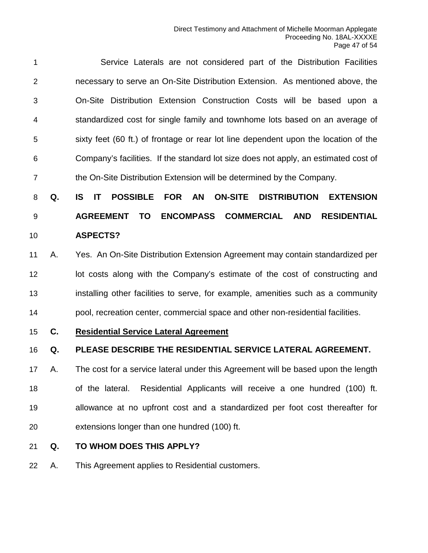Service Laterals are not considered part of the Distribution Facilities necessary to serve an On-Site Distribution Extension. As mentioned above, the On-Site Distribution Extension Construction Costs will be based upon a standardized cost for single family and townhome lots based on an average of sixty feet (60 ft.) of frontage or rear lot line dependent upon the location of the Company's facilities. If the standard lot size does not apply, an estimated cost of the On-Site Distribution Extension will be determined by the Company.

 **Q. IS IT POSSIBLE FOR AN ON-SITE DISTRIBUTION EXTENSION AGREEMENT TO ENCOMPASS COMMERCIAL AND RESIDENTIAL ASPECTS?**

- A. Yes. An On-Site Distribution Extension Agreement may contain standardized per **lot costs along with the Company's estimate of the cost of constructing and**  installing other facilities to serve, for example, amenities such as a community pool, recreation center, commercial space and other non-residential facilities.
- <span id="page-46-0"></span>**C. Residential Service Lateral Agreement**

#### **Q. PLEASE DESCRIBE THE RESIDENTIAL SERVICE LATERAL AGREEMENT.**

 A. The cost for a service lateral under this Agreement will be based upon the length of the lateral. Residential Applicants will receive a one hundred (100) ft. allowance at no upfront cost and a standardized per foot cost thereafter for extensions longer than one hundred (100) ft.

- **Q. TO WHOM DOES THIS APPLY?**
- A. This Agreement applies to Residential customers.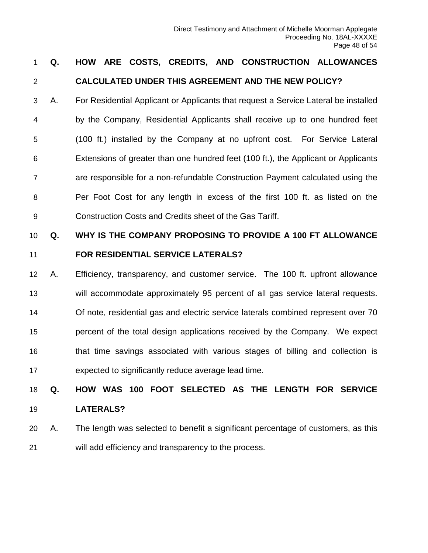### **Q. HOW ARE COSTS, CREDITS, AND CONSTRUCTION ALLOWANCES CALCULATED UNDER THIS AGREEMENT AND THE NEW POLICY?**

 A. For Residential Applicant or Applicants that request a Service Lateral be installed by the Company, Residential Applicants shall receive up to one hundred feet (100 ft.) installed by the Company at no upfront cost. For Service Lateral Extensions of greater than one hundred feet (100 ft.), the Applicant or Applicants are responsible for a non-refundable Construction Payment calculated using the Per Foot Cost for any length in excess of the first 100 ft. as listed on the Construction Costs and Credits sheet of the Gas Tariff.

# **Q. WHY IS THE COMPANY PROPOSING TO PROVIDE A 100 FT ALLOWANCE FOR RESIDENTIAL SERVICE LATERALS?**

 A. Efficiency, transparency, and customer service. The 100 ft. upfront allowance will accommodate approximately 95 percent of all gas service lateral requests. Of note, residential gas and electric service laterals combined represent over 70 percent of the total design applications received by the Company. We expect that time savings associated with various stages of billing and collection is expected to significantly reduce average lead time.

# **Q. HOW WAS 100 FOOT SELECTED AS THE LENGTH FOR SERVICE LATERALS?**

 A. The length was selected to benefit a significant percentage of customers, as this will add efficiency and transparency to the process.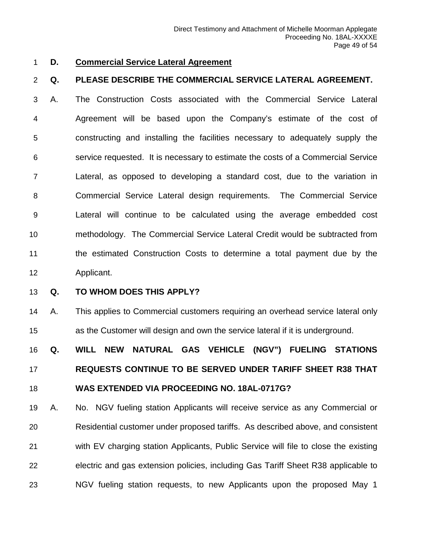#### <span id="page-48-0"></span>**D. Commercial Service Lateral Agreement**

#### **Q. PLEASE DESCRIBE THE COMMERCIAL SERVICE LATERAL AGREEMENT.**

 A. The Construction Costs associated with the Commercial Service Lateral Agreement will be based upon the Company's estimate of the cost of constructing and installing the facilities necessary to adequately supply the service requested. It is necessary to estimate the costs of a Commercial Service Lateral, as opposed to developing a standard cost, due to the variation in Commercial Service Lateral design requirements. The Commercial Service Lateral will continue to be calculated using the average embedded cost methodology. The Commercial Service Lateral Credit would be subtracted from the estimated Construction Costs to determine a total payment due by the Applicant.

#### **Q. TO WHOM DOES THIS APPLY?**

 A. This applies to Commercial customers requiring an overhead service lateral only as the Customer will design and own the service lateral if it is underground.

 **Q. WILL NEW NATURAL GAS VEHICLE (NGV") FUELING STATIONS REQUESTS CONTINUE TO BE SERVED UNDER TARIFF SHEET R38 THAT WAS EXTENDED VIA PROCEEDING NO. 18AL-0717G?**

 A. No. NGV fueling station Applicants will receive service as any Commercial or Residential customer under proposed tariffs. As described above, and consistent with EV charging station Applicants, Public Service will file to close the existing electric and gas extension policies, including Gas Tariff Sheet R38 applicable to NGV fueling station requests, to new Applicants upon the proposed May 1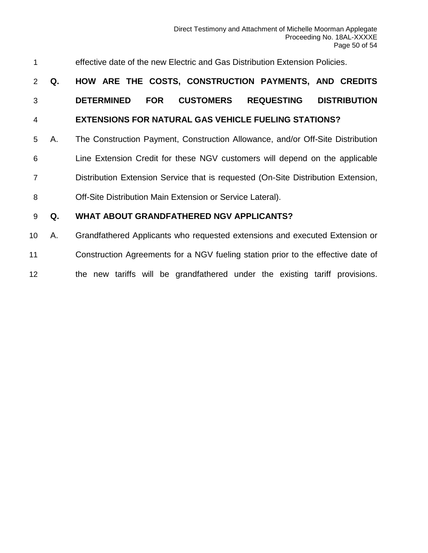| 1               |    | effective date of the new Electric and Gas Distribution Extension Policies.                     |
|-----------------|----|-------------------------------------------------------------------------------------------------|
| 2               | Q. | HOW ARE THE COSTS, CONSTRUCTION PAYMENTS, AND CREDITS                                           |
| 3               |    | <b>CUSTOMERS</b><br><b>REQUESTING</b><br><b>DISTRIBUTION</b><br><b>DETERMINED</b><br><b>FOR</b> |
| $\overline{4}$  |    | <b>EXTENSIONS FOR NATURAL GAS VEHICLE FUELING STATIONS?</b>                                     |
| 5               | А. | The Construction Payment, Construction Allowance, and/or Off-Site Distribution                  |
| 6               |    | Line Extension Credit for these NGV customers will depend on the applicable                     |
| $\overline{7}$  |    | Distribution Extension Service that is requested (On-Site Distribution Extension,               |
| 8               |    | Off-Site Distribution Main Extension or Service Lateral).                                       |
| 9               | Q. | <b>WHAT ABOUT GRANDFATHERED NGV APPLICANTS?</b>                                                 |
| 10 <sup>°</sup> | А. | Grandfathered Applicants who requested extensions and executed Extension or                     |
| 11              |    | Construction Agreements for a NGV fueling station prior to the effective date of                |

the new tariffs will be grandfathered under the existing tariff provisions.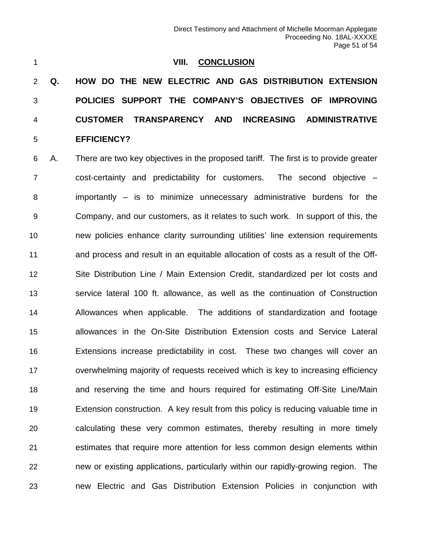#### **VIII. CONCLUSION**

 **Q. HOW DO THE NEW ELECTRIC AND GAS DISTRIBUTION EXTENSION POLICIES SUPPORT THE COMPANY'S OBJECTIVES OF IMPROVING CUSTOMER TRANSPARENCY AND INCREASING ADMINISTRATIVE EFFICIENCY?**

 A. There are two key objectives in the proposed tariff. The first is to provide greater cost-certainty and predictability for customers. The second objective – importantly – is to minimize unnecessary administrative burdens for the Company, and our customers, as it relates to such work. In support of this, the new policies enhance clarity surrounding utilities' line extension requirements and process and result in an equitable allocation of costs as a result of the Off- Site Distribution Line / Main Extension Credit, standardized per lot costs and service lateral 100 ft. allowance, as well as the continuation of Construction Allowances when applicable. The additions of standardization and footage allowances in the On-Site Distribution Extension costs and Service Lateral Extensions increase predictability in cost. These two changes will cover an overwhelming majority of requests received which is key to increasing efficiency and reserving the time and hours required for estimating Off-Site Line/Main Extension construction. A key result from this policy is reducing valuable time in calculating these very common estimates, thereby resulting in more timely estimates that require more attention for less common design elements within new or existing applications, particularly within our rapidly-growing region. The new Electric and Gas Distribution Extension Policies in conjunction with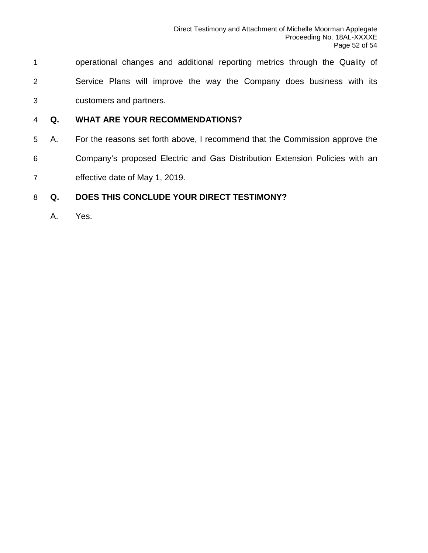- operational changes and additional reporting metrics through the Quality of Service Plans will improve the way the Company does business with its customers and partners.
- **Q. WHAT ARE YOUR RECOMMENDATIONS?**
- A. For the reasons set forth above, I recommend that the Commission approve the Company's proposed Electric and Gas Distribution Extension Policies with an effective date of May 1, 2019.

#### **Q. DOES THIS CONCLUDE YOUR DIRECT TESTIMONY?**

A. Yes.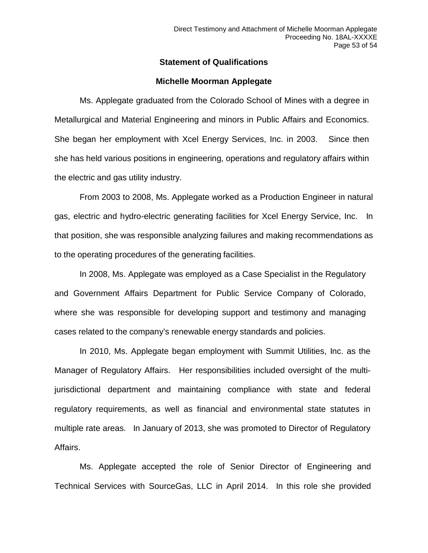#### **Statement of Qualifications**

#### **Michelle Moorman Applegate**

Ms. Applegate graduated from the Colorado School of Mines with a degree in Metallurgical and Material Engineering and minors in Public Affairs and Economics. She began her employment with Xcel Energy Services, Inc. in 2003. Since then she has held various positions in engineering, operations and regulatory affairs within the electric and gas utility industry.

From 2003 to 2008, Ms. Applegate worked as a Production Engineer in natural gas, electric and hydro-electric generating facilities for Xcel Energy Service, Inc. In that position, she was responsible analyzing failures and making recommendations as to the operating procedures of the generating facilities.

In 2008, Ms. Applegate was employed as a Case Specialist in the Regulatory and Government Affairs Department for Public Service Company of Colorado, where she was responsible for developing support and testimony and managing cases related to the company's renewable energy standards and policies.

In 2010, Ms. Applegate began employment with Summit Utilities, Inc. as the Manager of Regulatory Affairs. Her responsibilities included oversight of the multijurisdictional department and maintaining compliance with state and federal regulatory requirements, as well as financial and environmental state statutes in multiple rate areas. In January of 2013, she was promoted to Director of Regulatory Affairs.

Ms. Applegate accepted the role of Senior Director of Engineering and Technical Services with SourceGas, LLC in April 2014. In this role she provided